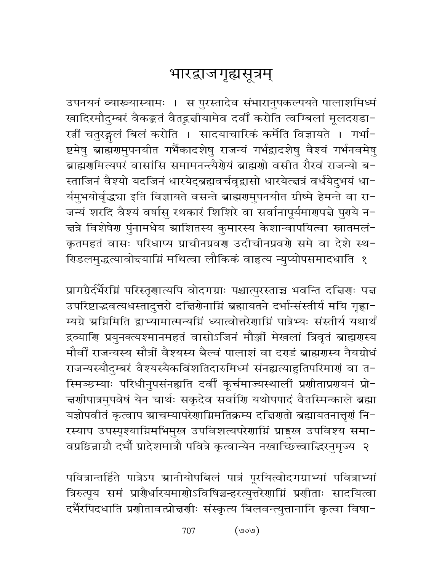## भारद्राजगृह्यसूत्रम्

उपनयनं व्याख्यास्यामः । स पुरस्तादेव संभारानुपकल्पयते पालाशमिध्मं खादिरमौदुम्बरं वैकङ्कतं वैतद्वज्ञीयामेव दर्वीं करोति त्वग्बिलां मूलदराडा-रत्नीं चतुरङ्गलं बिलं करोति । सादयाचारिकं कर्मेति विज्ञायते । गर्भा-ष्टमेषु ब्राह्मणमुपनयीत गर्भैकादशेषु राजन्यं गर्भद्वादशेषु वैश्यं गर्भनवमेषु ब्राह्मरामित्यपरं वासांसि समामनन्त्यैरोयं ब्राह्मराो वसीत रौरवं राजन्यो ब-स्ताजिनं वैश्यो यदजिनं धारयेद्ब्रह्मवर्चवृद्वासो धारयेत्त्वत्रं वर्धयेदुभयं धा-र्यमुभयोर्वृद्ध्या इति विज्ञायते वसन्ते ब्राह्मणुमुपनयीत ग्रीष्मे हेमन्ते वा रा-जन्यं शरदि वैश्यं वर्षासु रथकारं शिशिरे वा सर्वानापूर्यमार्णपत्ने पुरये न-चत्रे विशेषेण पुंनामधेय स्राशितस्य कुमारस्य केशान्वापयित्वा स्नातमलं− कृतमहतं वासः परिधाप्य प्राचीनप्रवण उदीचीनप्रवणे समे वा देशे स्थ-रिडलमुद्धत्यावोद्त्याग्निं मथित्वा लौकिकं वाहृत्य न्युप्योपसमादधाति १

प्रागग्रैर्दर्भैरग्निं परिस्तृणात्यपि वोदगग्राः पश्चात्पुरस्ताच्च भवन्ति दच्चिणः पच्च उपरिष्टाद्भवत्यधस्तादुत्तरो दच्चिर्णनाम्निं ब्रह्मायतने दर्भान्संस्तीर्य मयि गृह्णा-म्यग्रे ग्रग्निमिति द्वाभ्यामात्मन्यग्निं ध्यात्वोत्तरेणाग्निं पात्रेभ्यः संस्तीर्य यथार्थं द्रव्याणि प्रयुनक्त्यश्मानमहतं वासोऽजिनं मौञ्जीं मेखलां त्रिवृतं ब्राह्मणस्य मौर्वीं राजन्यस्य सौत्रीं वैश्यस्य बैल्वं पालाशं वा दराडं ब्राह्मगुस्य नैयग्रोधं राजन्यस्यौदुम्बरं वैश्यस्यैकविंशतिदारुमिध्मं संनह्यत्याहुतिपरिमाणं वा त-स्मिञ्छम्याः परिधीनुपसंनह्यति दर्वीं कूर्चमाज्यस्थालीं प्रणीताप्रणयनं प्रो-न्नर्णापात्रमुपवेषं येन चार्थः सकृदेव सर्वाणि यथोपपादं वैतस्मिन्काले ब्रह्मा यज्ञोपवीतं कृत्वाप स्राचम्यापरेणाग्निमतिक्रम्य दच्चिणतो ब्रह्मायतनात्तृणं नि-रस्याप उपस्पृश्याग्निमभिमुख उपविशत्यपरेणाग्निं प्राङ्गख उपविश्य समा-वप्रछिन्नाग्रौ दभौँ प्रादेशमात्रौ पवित्रे कृत्वान्येन नखाच्छित्त्वाद्धिरनुमृज्य २

पवित्रान्तर्हिते पात्रेऽप स्रानीयोपबिलं पात्रं पूरयित्वोदगग्राभ्यां पवित्राभ्यां त्रिरुत्पूय समं प्रारौर्धारयमाणोऽविषिञ्चन्हरत्युत्तरेणाग्निं प्रणीताः सादयित्वा दर्भैरपिदधाति प्रणीतावत्प्रोन्नणीः संस्कृत्य बिलवन्त्युत्तानानि कृत्वा विषा-

> $(\circ \circ \circ)$ 707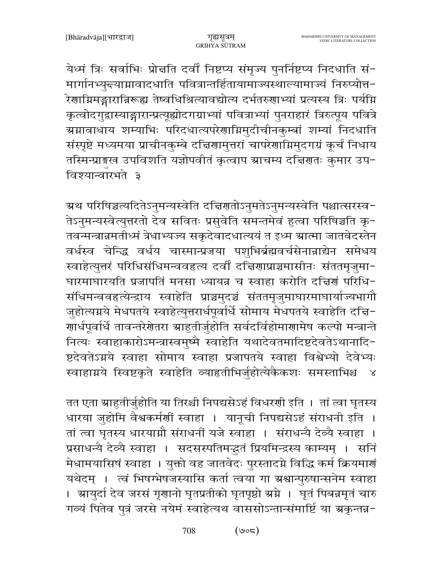येध्मं त्रिः सर्वाभिः प्रोन्नति दर्वीं निष्टप्य संमृज्य पुनर्निष्टप्य निदधाति सं-मार्गानभ्युन्त्याग्नावादधाति पवित्रान्तर्हितायामाज्यस्थाल्यामाज्यं निरुप्योत्त-.<br>रेणाग्निमङ्गारान्निरूह्य तेष्वधिश्रित्यावद्योत्य दर्भतरुणाभ्यां प्रत्यस्य त्रिः पर्यग्नि कृत्वोदगुद्रास्याङ्गारान्प्रत्यूह्योदगग्राभ्यां पवित्राभ्यां पुनराहारं त्रिरुत्पूय पवित्रे ग्र्यग्रावाधाय शम्याभिः परिदधात्यपरेणाग्निमुदीचीनकुम्बां शम्यां निदधाति संस्पृष्टे मध्यमया प्राचीनकुम्बे दच्चिणामुत्तरां चापरेणाम्निमुदगग्रं कूर्चं निधाय तस्मिन्प्राङ्गस्व उपविशति यज्ञोपवीतं कृत्वाप स्राचम्य दच्चिणतः कुमार उप− विश्यान्वारभते ३

म्रथ परिषिञ्चत्यदितेऽनुमन्यस्वेति दच्चिणतोऽनुमतेऽनुमन्यस्वेति पश्चात्सरस्व− तेऽनुमन्यस्वेत्युत्तरतो देव सवितः प्रसुवेति समन्तमेवं हुत्वा परिषिञ्चति कृ-तवन्मन्त्रान्नमतीध्मं त्रेधाभ्यज्य सकृदेवादधात्ययं त इध्म स्रात्मा जातवेदस्तेन वर्धस्व चेन्द्धि वर्धय चास्मान्प्रजया पशुभिर्ब्रह्मवर्चसेनान्नाद्येन समेधय स्वाहेत्युत्तरं परिधिसंधिमन्ववहृत्य दर्वीं दच्चिणाप्राञ्चमासीनः संततमृजुमा− घारमाघारयति प्रजापतिं मनसा ध्यायन्न च स्वाहा करोति दचिर्णं परिधि-संधिमन्ववहत्येन्द्राय स्वाहेति प्राञ्चमुदञ्चं संततमृजुमाघारमाघार्याज्यभागौ जुहोत्यग्नये मेधपतये स्वाहेत्युत्तरार्धपूर्वार्धे सोमाय मेधपतये स्वाहेति दचि-.<br>गार्धपूर्वार्धे तावन्तरेगेतरा स्राहुतीर्जुहोति सर्वदर्विहोमागामेष कल्पो मन्त्रान्ते नित्यः स्वाहाकारोऽमन्त्रास्वमुष्मै स्वाहेति यथादेवतमादिष्टदेवतेऽथानादि-ष्टदेवतेऽग्नये स्वाहा सोमाय स्वाहा प्रजापतये स्वाहा विश्वेभ्यो देवेभ्यः स्वाहाग्नये स्विष्टकृते स्वाहेति व्याहृतीभिर्जुहोत्येकैकशः समस्ताभिश्च  $\mathbb{R}^2$ 

तत एता ग्राहुतीर्जुहोति या तिरश्ची निपद्यसेऽहं विधरणी इति । तां त्वा घृतस्य धारया जुहोमि वैश्वकर्मर्णौ स्वाहा । यानूची निपद्यसेऽहं संराधनी इति । तां त्वा घृतस्य धारयाग्नौ संराधनीं यजे स्वाहा । संराधन्यै देव्यै स्वाहा । प्रसाधन्यै देव्यै स्वाहा । सदसस्पतिमद्भुतं प्रियमिन्द्रस्य काम्यम् । सनि मेधामयासिषं स्वाहा । युक्तो वह जातवेदः पुरस्तादग्ने विद्धि कर्म क्रियमार्ग् यथेदम् । त्वं भिषग्भेषजस्यासि कर्ता त्वया गा ग्रश्वान्पुरुषान्सनेम स्वाहा । आयुर्दा देव जरसं गृणानो घृतप्रतीको घृतपृष्ठो अग्ने । घृतं पिबन्नमृतं चारु गव्यं पितेव पुत्रं जरसे नयेमं स्वाहेत्यथ वाससोऽन्तान्संमार्ष्टि या ग्रकृन्तन्न-

> 708  $(\circ \circ \tau)$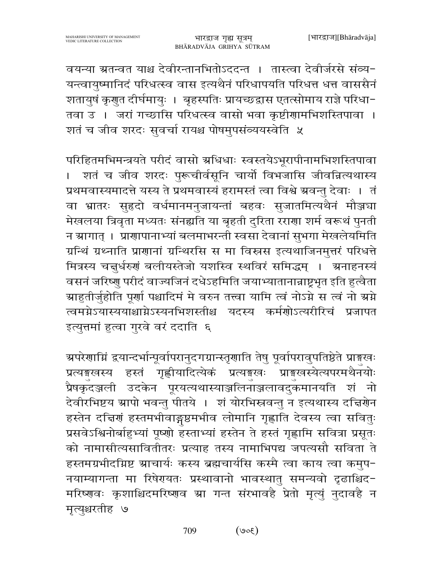वयन्या ग्रतन्वत याश्च देवीरन्तानभितोऽददन्त । तास्त्वा देवीर्जरसे संव्य-यन्त्वायुष्मानिदं परिधत्स्व वास इत्यथैनं परिधापयति परिधत्त धत्त वाससैनं शतायुषं कृगुत दीर्घमायुः । बृहस्पतिः प्रायच्छद्वास एतत्सोमाय राज्ञे परिधा-तवा उ । जरां गच्छासि परिधत्स्व वासो भवा कृष्टीगामभिशस्तिपावा । शतं च जीव शरदः सुवर्चा रायश्च पोषमुपसंव्ययस्वेति ५

परिहितमभिमन्त्रयते परीदं वासो अधिधाः स्वस्तयेऽभूरापीनामभिशस्तिपावा । शतं च जीव शरदः पुरूचीर्वसूनि चार्यो विभजासि जीवन्नित्यथास्य प्रथमवास्यमादत्ते यस्य ते प्रथमवास्यं हरामस्तं त्वा विश्वे ग्रवन्तु देवाः । तं वा भ्रातरः सुहृदो वर्धमानमनुजायन्तां बहवः सुजातमित्यथैनं मौञ्जघा मेखलया त्रिवृता मध्यतः संनह्यति या बृहती दुरिता रराणा शर्म वरूथं पुनती न स्रागात् । प्राणापानाभ्यां बलमाभरन्ती स्वसा देवानां सुभगा मेखलेयमिति ग्रन्थिं ग्रथ्नाति प्राणानां ग्रन्थिरसि स मा विस्त्रस इत्यथाजिनमुत्तरं परिधत्ते मित्रस्य चत्तुर्धरुणं बलीयस्तेजो यशस्वि स्थविरं समिद्धम् । अनाहनस्यं वसनं जरिष्णु परीदं वाज्यजिनं दधेऽहमिति जयाभ्यातानान्नाष्ट्रभृत इति हुत्वैता ग्राहुतीर्जुहोति पूर्णा पश्चादिमं मे वरुन तत्त्वा यामि त्वं नोऽग्ने स त्वं नो ग्रग्ने त्वमग्नेऽयास्ययाश्चाग्नेऽस्यनभिशस्तीश्च यदस्य कर्मणोऽत्यरीरिचं प्रजापत इत्युत्तमां हुत्वा गुरवे वरं ददाति ६

ग्र्परेणाम्निं द्वयान्दर्भान्पूर्वापरानुदगग्रान्स्तृणाति तेषु पूर्वापरावुपतिष्ठेते प्राङ्गखः प्रत्यङ्गखस्य हस्तं गृह्णीयादित्येकं प्रत्यङ्गखः प्राङ्गखस्येत्यपरमथैनयोः प्रैषकृदञ्जली उदकेन पूरयत्यथास्याञ्जलिनाञ्जलावदुकमानयति शं नो देवीरभिष्टय स्रापो भवन्तु पीतये । शं योरभिस्नवन्तु न इत्यथास्य दच्चिणेन हस्तेन दचिणं हस्तमभीवाङ्गष्ठमभीव लोमानि गृह्णाति देवस्य त्वा सवितुः प्रसवेऽश्विनोर्बाहुभ्यां पूष्णो हस्ताभ्यां हस्तेन ते हस्तं गृह्णामि सवित्रा प्रसूतः को नामासीत्यसावितीतरः प्रत्याह तस्य नामाभिपद्य जपत्यसौ सविता ते हस्तमग्रभीदग्निष्ट ग्राचार्यः कस्य ब्रह्मचार्यसि कस्मै त्वा काय त्वा कमुप-नयाम्यागन्ता मा रिषेरायतः प्रस्थावानो भावस्थातु समन्यवो दृढाश्चिद-मरिष्णवः कृशाश्चिदमरिष्णव ग्रा गन्त संरभावहै प्रेतो मृत्युं नुदावहै न मृत्युश्चरतीह ७

> 709  $(300)$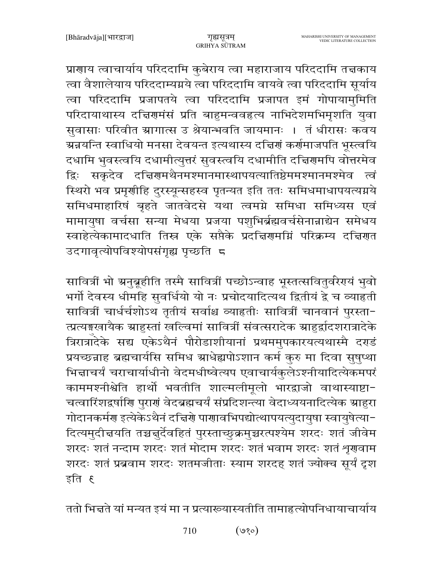प्राणाय त्वाचार्याय परिददामि कुबेराय त्वा महाराजाय परिददामि तत्तकाय त्वा वैशालेयाय परिददाम्यग्नये त्वा परिददामि वायवे त्वा परिददामि सूर्याय त्वा परिददामि प्रजापतये त्वा परिददामि प्रजापत इमं गोपायामुमिति परिदायाथास्य दच्चिणमंसं प्रति बाहुमन्ववहृत्य नाभिदेशमभिमृशति युवा सुवासाः परिवीत ग्रागात्स उ श्रेयान्भवति जायमानः । तं धीरासः कवय ग्र्मचर्यन्त स्वाधियो मनसा देवयन्त इत्यथास्य दत्त्विणं कर्णमाजपति भूस्त्वयि दधामि भुवस्त्वयि दधामीत्युत्तरं सुवस्त्वयि दधामीति दच्चिणमपि वोत्तरमेव द्विः सकृदेव दच्चिणमथैनमश्मानमास्थापयत्यातिष्ठेममश्मानमश्मेव त्वं स्थिरो भव प्रमृणीहि दुरस्यून्सहस्व पृतन्यत इति ततः समिधमाधापयत्यग्नये समिधमाहारिषं बृहते जातवेदसे यथा त्वमग्ने समिधा समिध्यस एवं मामायुषा वर्चसा सन्या मेधया प्रजया पशुभिर्ब्रह्मवर्चसेनान्नाद्येन समेधय स्वाहेत्येकामादधाति तिस्र एके सप्तैके प्रदत्तिरामग्निं परिक्रम्य दत्तिरात उदगावृत्योपविश्योपसंगृह्य पृच्छति ८

सावित्रीं भो ग्रनुबूहीति तस्मै सावित्रीं पच्छोऽन्वाह भूस्तत्सवितुर्वरेगयं भुवो भर्गो देवस्य धीमहि सुवर्धियो यो नः प्रचोदयादित्यथ द्वितीयं द्वे च व्याहृती सावित्रीं चार्धर्चशोऽथ तृतीयं सर्वाश्च व्याहृतीः सावित्रीं चानवानं पुरस्ता-त्प्रत्यङ्गखायैक ग्राहुस्तां खल्विमां सावित्रीं संवत्सरादेक ग्राहुर्द्वादशरात्रादेके त्रिरात्रादेके सद्य एकेऽथैनं पौरोडाशीयानां प्रथममुपकारयत्यथास्मै दर्ग्डं प्रयच्छन्नाह ब्रह्मचार्यसि समिध ग्राधेह्यपोऽशान कर्म कुरु मा दिवा सुषुप्था भिज्ञाचर्यं चराचार्याधीनो वेदमधीष्वेत्यप एवाचार्यकुलेऽश्नीयादित्येकमपरं काममश्नीश्वेति हार्थो भवतीति शाल्मलीमूलो भारद्वाजो वाथास्याष्टा-चत्वारिंशद्वर्षाणि पुराणं वेदब्रह्मचर्यं संप्रदिशन्त्या वेदाध्ययनादित्येक स्राहुरा गोदानकर्मण इत्येकेऽथैनं दच्चिणे पाणावभिपद्योत्थापयत्युदायुषा स्वायुषेत्या-दित्यमुदीचयति तच्चचुर्देवहितं पुरस्ताच्छुक्रमुच्चरत्पश्येम शरदः शतं जीवेम शरदः शतं नन्दाम शरदः शतं मोदाम शरदः शतं भवाम शरदः शतं शृगवाम शरदः शतं प्रब्रवाम शरदः शतमजीताः स्याम शरदह शतं ज्योक्च सूर्यं दृश इति ह

ततो भिन्नते यां मन्यत इयं मा न प्रत्याख्यास्यतीति तामाहृत्योपनिधायाचार्याय

 $($ ७१०) 710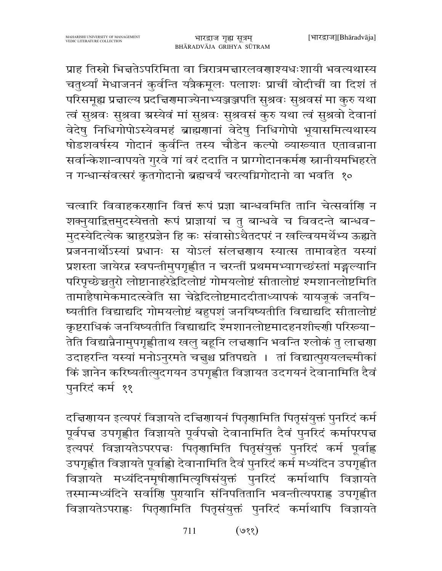प्राह तिस्रो भिन्नतेऽपरिमिता वा त्रिरात्रमन्नारलवणाश्यधःशायी भवत्यथास्य चतुर्थ्यां मेधाजननं कुर्वन्ति यत्रैकमूलः पलाशः प्राचीं वोदीचीं वा दिशं तं परिसमूह्य प्रज्ञाल्य प्रदच्चिणमाज्येनाभ्यञ्जञ्जपति सुश्रवः सुश्रवसं मा कुरु यथा त्वं सुश्रवः सुश्रवा ग्रस्येवं मां सुश्रवः सुश्रवसं कुरु यथा त्वं सुश्रवो देवानां वेदेषु निधिगोपोऽस्येवमहं ब्राह्मणानां वेदेषु निधिगोपो भूयासमित्यथास्य षोडशवर्षस्य गोदानं कुर्वन्ति तस्य चौडेन कल्पो व्याख्यात एतावन्नाना सर्वान्केशान्वापयते गुरवे गां वरं ददाति न प्राग्गोदानकर्मण स्नानीयमभिहरते न गन्धान्संवत्सरं कृतगोदानो ब्रह्मचर्यं चरत्यग्निगोदानो वा भवति १०

चत्वारि विवाहकरणानि वित्तं रूपं प्रज्ञा बान्धवमिति तानि चेत्सर्वाणि न शक्नुयाद्रित्तमुदस्येत्ततो रूपं प्राज्ञायां च तु बान्धवे च विवदन्ते बान्धव-मुदस्येदित्येक ग्राहुरप्रज्ञेन हि कः संवासोऽथैतदपरं न खल्वियमर्थेभ्य ऊह्यते प्रजननार्थोऽस्यां प्रधानः स योऽलं संलच्चणाय स्यात्स तामावहेत यस्यां प्रशस्ता जायेरन्न स्वपन्तीमुपगृह्णीत न चरन्तीं प्रथममभ्यागच्छंस्तां मङ्गल्यानि परिपृच्छेच्चतुरो लोष्टानाहरेद्वेदिलोष्टं गोमयलोष्टं सीतालोष्टं श्मशानलोष्टमिति तामाहैषामेकमादत्स्वेति सा चेद्वेदिलोष्टमाददीताध्यापकं यायजुकं जनयि-ष्यतीति विद्याद्यदि गोमयलोष्टं बहुपशं जनयिष्यतीति विद्याद्यदि सीतालोष्टं कृष्टराधिकं जनयिष्यतीति विद्याद्यदि श्मशानलोष्टमादहनशीद्त्णी परिरूया− तेति विद्यान्नैनामुपगृह्णीताथ खलु बहूनि लच्चणानि भवन्ति श्लोकं तु लाच्चणा उदाहरन्ति यस्यां मनोऽनुरमते चत्तुश्च प्रतिपद्यते । तां विद्यात्पुरायलन्दमीकां किं ज्ञानेन करिष्यतीत्युदगयन उपगृह्णीत विज्ञायत उदगयनं देवानामिति दैवं पुनरिदं कर्म ११

दच्चिणायन इत्यपरं विज्ञायते दच्चिणायनं पितृणामिति पितृसंयुक्तं पुनरिदं कर्म पूर्वपत्त उपगृह्णीत विज्ञायते पूर्वपत्तो देवानामिति दैवं पुनरिदं कर्मापरपत्त इत्यपरं विज्ञायतेऽपरपद्मः पितृणामिति पितृसंयुक्तं पुनरिदं कर्म पूर्वाह्ल उपगृह्णीत विज्ञायते पूर्वाह्लो देवानामिति दैवं पुनरिदं कर्म मध्यंदिन उपगृह्णीत विज्ञायते मध्यंदिनमृषीणामित्यृषिसंयुक्तं पुनरिदं कर्माथापि विज्ञायते तस्मान्मध्यंदिने सर्वाणि पुरायानि संनिपतितानि भवन्तीत्यपराह्ण उपगृह्णीत विज्ञायतेऽपराह्णः पितृणामिति पितृसंयुक्तं पुनरिदं कर्माथापि विज्ञायते

> $($ ९१) 711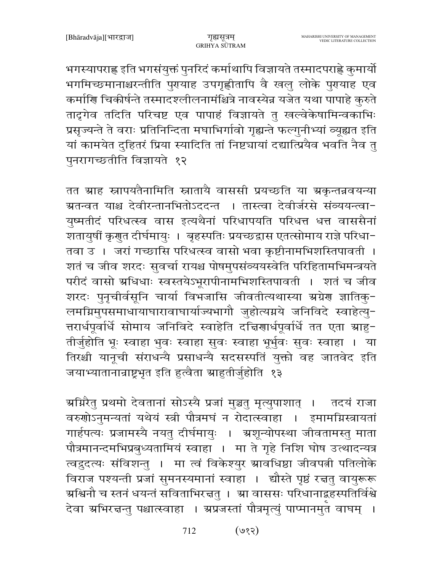भगस्यापराह्ण इति भगसंयुक्तं पुनरिदं कर्माथापि विज्ञायते तस्मादपराह्णे कुमार्यो भगमिच्छमानाश्चरन्तीति पुरायाह उपगृह्णीतापि वै खलु लोके पुरायाह एव कर्माणि चिकीर्षन्ते तस्मादश्लीलनामंश्चित्रे नावस्येन्न यजेत यथा पापाहे कुरुते तादृगेव तदिति परिचष्ट एव पापाहं विज्ञायते तु खल्वेकेषामिन्वकाभिः प्रसृज्यन्ते ते वराः प्रतिनिन्दिता मघाभिर्गावो गृह्यन्ते फल्गुनीभ्यां व्यूह्यत इति यां कामयेत दुहितरं प्रिया स्यादिति तां निष्ट्यायां दद्यात्प्रियैव भवति नैव तु पुनरागच्छतीति विज्ञायते १२

तत ग्राह स्नापयतैनामिति स्नातायै वाससी प्रयच्छति या ग्रकृन्तन्नवयन्या ग्रतन्वत याश्च देवीरन्तानभितोऽददन्त । तास्त्वा देवीर्जरसे संव्ययन्त्वा− युष्मतीदं परिधत्स्व वास इत्यथैनां परिधापयति परिधत्त धत्त वाससैनां शतायुषीं कृगुत दीर्घमायुः । बृहस्पतिः प्रयच्छद्वास एतत्सोमाय राज्ञे परिधा-तवा उ । जरां गच्छासि परिधत्स्व वासो भवा कृष्टीनामभिशस्तिपावती । शतं च जीव शरदः सुवर्चा रायश्च पोषमुपसंव्ययस्वेति परिहितामभिमन्त्रयते परीदं वासो अधिधाः स्वस्तयेऽभूरापीनामभिशस्तिपावती । शतं च जीव शरदः पुनृचीर्वसूनि चार्या विभजासि जीवतीत्यथास्या ग्रग्नेण ज्ञातिकू-लमग्निमुपसमाधायाघारावाघार्याज्यभागौ जुहोत्यग्नये जनिविदे स्वाहेत्यु-त्तरार्धपूर्वार्धे सोमाय जनिविदे स्वाहेति दच्चिणार्धपूर्वार्धे तत एता ग्राहु-तीर्जुहोति भूः स्वाहा भुवः स्वाहा सुवः स्वाहा भूर्भुवः सुवः स्वाहा । या तिरश्ची यानूची संराधन्यै प्रसाधन्यै सदसस्पतिं युक्तो वह जातवेद इति जयाभ्यातानान्राष्ट्रभूत इति हुत्वैता स्राहुतीर्जुहोति १३

ग्र्याग्नरैत् प्रथमो देवतानां सोऽस्यै प्रजां मुञ्चतु मृत्युपाशात् । तदयं राजा वरुणोऽनुमन्यतां यथेयं स्त्री पौत्रमघं न रोदात्स्वाहा । इमामग्निस्त्रायतां गार्हपत्यः प्रजामस्यै नयतु दीर्घमायुः । अ्रशून्योपस्था जीवतामस्तु माता पौत्रमानन्दमभिप्रबुध्यतामियं स्वाहा । मा ते गृहे निशि घोष उत्थादन्यत्र त्वद्रुदत्यः संविशन्तु । मा त्वं विकेश्युर ग्रावधिष्ठा जीवपत्नी पतिलोके विराज पश्यन्ती प्रजां सुमनस्यमानां स्वाहा । द्यौस्ते पृष्ठं रचतु वायुरूरू ग्रश्चिनौ च स्तनं धयन्तं सविताभिरचतु । ग्रा वाससः परिधानाद्बहस्पतिर्विश्वे देवा अभिरत्तन्तु पश्चात्स्वाहा । अप्रजस्तां पौत्रमृत्युं पाप्मानमुत वाघम् ।

> $($ ९२) 712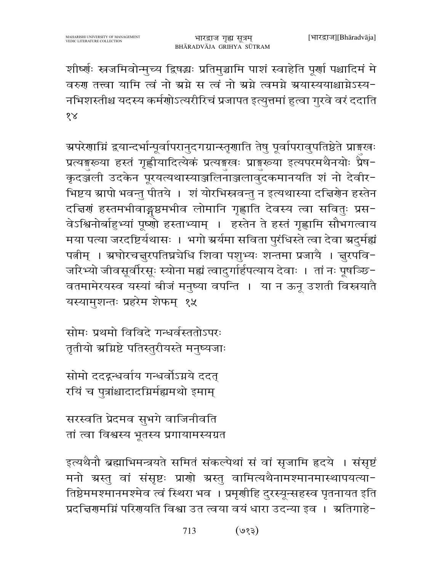शीर्ष्णः स्त्रजमिवोन्मुच्य द्विषद्धः प्रतिमुञ्चामि पाशं स्वाहेति पूर्णा पश्चादिमं मे वरुण तत्त्वा यामि त्वं नो ग्रग्ने स त्वं नो ग्रग्ने त्वमग्ने ग्रयास्ययाश्चाग्नेऽस्य-नभिशस्तीश्च यदस्य कर्मणोऽत्यरीरिचं प्रजापत इत्युत्तमां हुत्वा गुरवे वरं ददाति  $\sqrt{8}$ 

ग्रपरेणाम्निं द्वयान्दर्भान्पूर्वापरानुदगग्रान्स्तृणाति तेषु पूर्वापरावुपतिष्ठेते प्राङ्गखः प्रत्यङ्गरूया हस्तं गृह्णीयादित्येकं प्रत्यङ्गखः प्राङ्गरूया इत्यपरमथैनयोः प्रैष-कृदञ्जली उदकेन पूरयत्यथास्याञ्जलिनाञ्जलावुदकमानयति शं नो देवीर-भिष्टय स्रापो भवन्तु पीतये । शं योरभिस्त्रवन्तु न इत्यथास्या दत्तिरोन हस्तेन दचिणं हस्तमभीवाङ्गष्ठमभीव लोमानि गृह्णाति देवस्य त्वा सवितुः प्रस-वेऽश्विनोर्बाहुभ्यां पूष्णो हस्ताभ्याम् । हस्तेन ते हस्तं गृह्णामि सौभगत्वाय मया पत्या जरदष्टिर्यथासः । भगो ग्रर्यमा सविता पुरंधिस्ते त्वा देवा ग्रदुर्मह्यं पत्नीम् । स्रघोरचत्तुरपतिघ्नघेधि शिवा पशुभ्यः शन्तमा प्रजायै । त्तुरपवि-जरिभ्यो जीवसूर्वीरसूः स्योना मह्यं त्वादुर्गार्हपत्याय देवाः । तां नः पूषञ्छि-वतमामेरयस्व यस्यां बीजं मनुष्या वपन्ति । या न ऊनू उशती विस्नयातै यस्यामुशन्तः प्रहरेम शेफम् १५

सोमः प्रथमो विविदे गन्धर्वस्ततोऽपरः तृतीयो अग्निष्टे पतिस्तुरीयस्ते मनुष्यजाः

सोमो ददद्ग्धर्वाय गन्धर्वोऽग्नये ददत् रयिं च पुत्रांश्चादादग्निर्मह्यमथो इमाम्

सरस्वति प्रेदमव सुभगे वाजिनीवति तां त्वा विश्वस्य भूतस्य प्रगायामस्यग्रत

इत्यथैनौ ब्रह्माभिमन्त्रयते समितं संकल्पेथां सं वां सृजामि हृदये । संसृष्टं मनो ग्रस्तु वां संसृष्टः प्राणो ग्रस्तु वामित्यथैनामश्मानमास्थापयत्या-तिष्ठेममश्मानमश्मेव त्वं स्थिरा भव । प्रमृणीहि दुरस्यून्सहस्व पृतनायत इति प्रदत्तिरामग्निं परिरायति विश्वा उत त्वया वयं धारा उदन्या इव । अतिगाहे-

> $($ ६१९) 713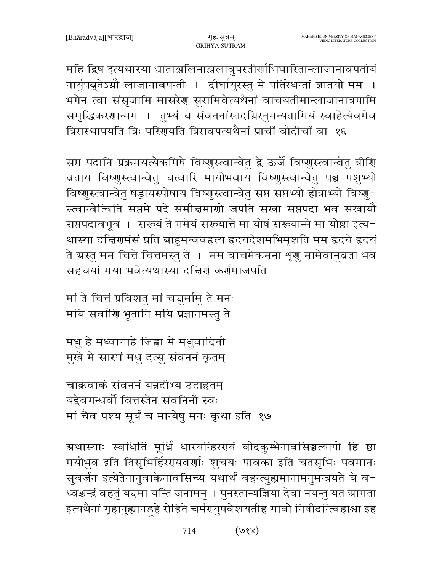महि द्विष इत्यथास्या भ्राताञ्जलिनाञ्जलावुपस्तीर्णाभिघारितान्लाजानावपतीयं नार्युपब्रूतेऽग्नौ लाजानावपन्ती । दीर्घायुरस्तु मे पतिरेधन्तां ज्ञातयो मम । भगेन त्वा संसृजामि मासरेण सुरामिवेत्यथैनां वाचयतीमान्लाजानावपामि समृद्धिकरणान्मम । तुभ्यं च संवननांस्तदग्निरनुमन्यतामियं स्वाहेत्येवमेव त्रिरास्थापयति त्रिः परिगयति त्रिरावपत्यथैनां प्राचीं वोदीचीं वा १६

सप्त पदानि प्रक्रमयत्येकमिषे विष्णुस्त्वान्वेतु द्वे ऊर्जे विष्णुस्त्वान्वेतु त्रीणि ब्रताय विष्णुस्त्वान्वेतु चत्वारि मायोभवाय विष्णुस्त्वान्वेतु पञ्च पशुभ्यो विष्णुस्त्वान्वेतु षड्रायस्पोषाय विष्णुस्त्वान्वेतु सप्त सप्तभ्यो होत्राभ्यो विष्णु-स्त्वान्वेत्विति सप्तमे पदे समीचमाणो जपति सखा सप्तपदा भव सखायौ सप्तपदावभूव । सरूयं ते गमेयं सरूयात्ते मा योषं सरूयान्मे मा योष्ठा इत्य-थास्या दच्चिरणमंसं प्रति बाहुमन्ववहृत्य हृदयदेशमभिमृशति मम हृदये हृदयं ते ग्रस्तु मम चित्ते चित्तमस्तु ते । मम वाचमेकमना शृणु मामेवानुबता भव सहचर्या मया भवेत्यथास्या दच्चिणं कर्णमाजपति

मां ते चित्तं प्रविशतु मां चत्तुर्मामु ते मनः मयि सर्वाणि भूतानि मयि प्रज्ञानमस्तु ते

मधु हे मध्वागाहे जिह्ना मे मधुवादिनी मुखे मे सारघं मधु दत्सु संवननं कृतम्

चाक्रवाकं संवननं यन्नदीभ्य उदाहृतम् यद्देवगन्धर्वो वित्तस्तेन संवनिनौ स्वः मां चैव पश्य सूर्यं च मान्येषु मनः कृथा इति १७

ग्रथास्याः स्वधितिं मूर्ध्नि धारयन्हिरएयं वोदकुम्भेनावसिञ्चत्यापो हि ष्ठा मयोभुव इति तिसृभिर्हिररयवर्णाः शुचयः पावका इति चतसृभिः पवमानः सुवर्जन इत्येतेनानुवाकेनावसिच्य यथार्थं वहन्त्युह्यमानामनुमन्त्रयते ये व-ध्वश्चन्द्रं वहतुं यद्त्मा यन्ति जनामनु । पुनस्तान्यज्ञिया देवा नयन्तु यत स्रागता इत्यथैनां गृहानुह्यानडहे रोहिते चर्मरप्युपवेशयतीह गावो निषीदन्त्विहाश्वा इह

> 714  $($ ४१४)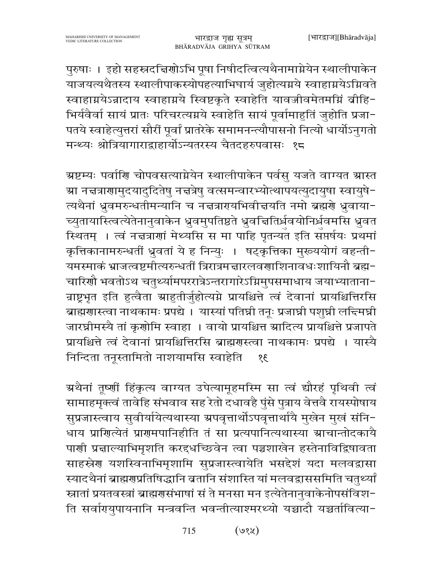पुरुषाः । इहो सहस्रदच्चिणोऽभि पूषा निषीदत्वित्यथैनामाग्नेयेन स्थालीपाकेन याजयत्यथैतस्य स्थालीपाकस्योपहत्याभिघार्य जुहोत्यग्नये स्वाहाग्नयेऽग्निवते स्वाहाग्नयेऽन्नादाय स्वाहाग्नये स्विष्टकृते स्वाहेति यावज्जीवमेतमग्निं वीहि-भिर्यवैर्वा सायं प्रातः परिचरत्यग्नये स्वाहेति सायं पूर्वामाहुतिं जुहोति प्रजा-पतये स्वाहेत्युत्तरां सौरीं पूर्वां प्रातरेके समामनन्त्यौपासनो नित्यो धार्योऽनुगतो मन्थ्यः श्रोत्रियागाराद्राहार्योऽन्यतरस्य चैतदहरुपवासः १८

ग्र्रष्टम्यः पर्वाणि चोपवसत्याग्नेयेन स्थालीपाकेन पर्वसु यजते वाग्यत ग्रास्त म्रा नचत्राणामुदयादुदितेषु नचत्रेषु वत्समन्वारभ्योत्थापयत्युदायुषा स्वायुषे− त्यथैनां ध्रुवमरुन्धतीमन्यानि च नत्तत्रारायभिवीत्तयति नमो ब्रह्मणे ध्रुवाया-च्युतायास्त्वित्येतेनानुवाकेन ध्रुवमुपतिष्ठते ध्रुवचितिर्ध्रवयोनिर्धवमसि ध्रुवत स्थितम् । त्वं नज्ञत्राणां मेथ्यसि स मा पाहि पृतन्यत इति सप्तर्षयः प्रथमां कृत्तिकानामरुन्धतीं ध्रुवतां ये ह निन्युः । षट्कृत्तिका मुरूययोगं वहन्ती-यमस्माकं भ्राजत्वष्टमीत्यरुन्धतीं त्रिरात्रमत्तारलवणाशिनावधःशायिनौ ब्रह्म-चारिणौ भवतोऽथ चतुर्थ्यामपररात्रेऽन्तरागारेऽग्निमुपसमाधाय जयाभ्याताना-न्राष्ट्रभृत इति हुत्वैता स्राहुतीर्जुहोत्यग्ने प्रायश्चित्ते त्वं देवानां प्रायश्चित्तिरसि ब्राह्मणास्त्वा नाथकामः प्रपद्ये । यास्यां पतिघ्नी तनूः प्रजाघ्नी पशुघ्नी लन्दिमघ्नी जारघ्नीमस्यै तां कृणोमि स्वाहा । वायो प्रायश्चित्त स्रादित्य प्रायश्चित्ते प्रजापते प्रायश्चित्ते त्वं देवानां प्रायश्चित्तिरसि ब्राह्मणस्त्वा नाथकामः प्रपद्ये । यास्यै निन्दिता तनुस्तामितो नाशयामसि स्वाहेति  $\overline{38}$ 

ग्रथैनां तृष्णीं हिंकृत्य वाग्यत उपेत्यामूहमस्मि सा त्वं द्यौरहं पृथिवी त्वं सामाहमूक्त्वं तावेहि संभवाव सह रेतो दधावहै पुंसे पुत्राय वेत्तवै रायस्पोषाय सुप्रजास्त्वाय सुवीर्यायेत्यथास्या ग्रपवृत्तार्थोऽपवृत्तार्थायै मुखेन मुखं संनि-धाय प्राणित्येतं प्राणमपानिहीति तं सा प्रत्यपानित्यथास्या स्राचान्तोदकायै पाणी प्रचाल्याभिमृशति करद्दधच्छिवेन त्वा पञ्चशाखेन हस्तेनाविद्विषावता साहस्रेण यशस्विनाभिमृशामि सुप्रजास्त्वायेति भसद्देशं यदा मलवद्वासा स्यादथैनां ब्राह्मणप्रतिषिद्धानि ब्रतानि संशास्ति यां मलवद्वाससमिति चतुर्थ्यां स्नातां प्रयतवस्त्रां ब्राह्मणसंभाषां सं ते मनसा मन इत्येतेनानुवाकेनोपसंविश-ति सर्वारपयुपायनानि मन्त्रवन्ति भवन्तीत्याश्मरथ्यो यच्चादौ यच्चर्तावित्या-

> $($ ७१५) 715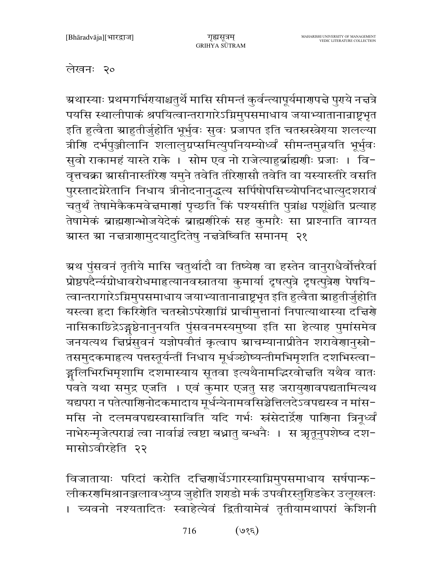## लेखनः २०

ग्रथास्याः प्रथमगर्भिरायाश्चतुर्थे मासि सीमन्तं कुर्वन्त्यापूर्यमारणपत्ते पुराये नत्तत्रे पयसि स्थालीपाकं श्रपयित्वान्तरागारेऽग्निमुपसमाधाय जयाभ्यातानान्राष्ट्रभृत इति हुत्वैता स्राहुतीर्जुहोति भूर्भुवः सुवः प्रजापत इति चतस्त्रस्त्रेराया शलल्या त्रीणि दर्भपुञ्जीलानि शलालुग्रप्समित्युपनियम्योर्ध्वं सीमन्तमुन्नयति भूर्भुवः सुवो राकामहं यास्ते राके । सोम एव नो राजेत्याहुर्ब्राह्मणीः प्रजाः । वि-वृत्तचक्रा स्रासीनास्तीरेण यमुने तवेति तीरेणासौ तवेति वा यस्यास्तीरे वसति पुरस्तादग्नेरेतानि निधाय त्रीनोदनानुद्धत्य सर्पिषोपसिच्योपनिदधात्युदशरावं -<br>चतुर्थं तेषामेकैकमवेज्ञमाणां पृच्छति किं पश्यसीति पुत्रांश्च पशूंश्चेति प्रत्याह तेषामेकं ब्राह्मणान्भोजयेदेकं ब्राह्मणीरेकं सह कुमारैः सा प्राश्नाति वाग्यत ग्रास्त ग्रा नचत्राणामुदयादुदितेषु नचत्रेष्विति समानम् २१

ग्रथ पुंसवनं तृतीये मासि चतुर्थादौ वा तिष्येण वा हस्तेन वानुराधैर्वोत्तरैर्वा प्रोष्ठपदैर्न्यग्रोधावरोधमाहत्यानवस्नातया कुमार्या दृषत्पुत्रे दृषत्पुत्रेण पेषयि-त्वान्तरागारेऽग्निमुपसमाधाय जयाभ्यातानांन्राष्ट्रभूत इति हुत्वैता स्राहुतीर्जुहोति यस्त्वा हृदा किरिंगेति चतस्रोऽपरेगाग्निं प्राचीमुत्तानां निपात्याथास्या दच्चिर्गे नासिकाछिद्रेऽङ्गष्ठेनानुनयति पुंसवनमस्यमुष्या इति सा हेत्याह पुमांसमेव जनयत्यथ चिप्रॅसुवनं यज्ञोपवीतं कृत्वाप स्राचम्यानाप्रीतेन शरावेणानुस्रो-तसमुदकमाहृत्य पत्तस्तूर्यन्तीं निधाय मूर्धञ्छोष्यन्तीमभिमृशति दशभिस्त्वा-ङ्गलिभिरभिमृशामि दशमास्याय सूतवा इत्यथैनामद्भिरवोत्तति यथैव वातः पँवते यथा समुद्र एजति । एवं कुमार एजतु सह जरायुणावपद्यतामित्यथ यद्यपरा न पतेत्पाणिनोदकमादाय मूर्धन्येनामवसिञ्चेत्तिलदेऽवपद्यस्व न मांस-मसि नो दलमवपद्यस्वासाविति यदि गर्भः स्त्रंसेदार्द्रेण पाणिना त्रिनूर्ध्वं नाभेरुन्मृजेत्पराञ्चं त्वा नार्वाञ्चं त्वष्टा बध्नातु बन्धनैः । स ऋतूनुपशेष्व दश-मासोऽवीरहेति २२

विजातायाः परिदां करोति दच्चिणार्धेऽगारस्याग्निमुपसमाधाय सर्षपान्फ-लीकरगमिश्रानञ्जलावध्युप्य जुहोति शराडो मर्क उपवीरस्तुरिडकेर उलूखलः । च्यवनो नश्यतादितः स्वाहेत्येवं द्वितीयामेवं तृतीयामथापरां केशिनी

> $(38e)$ 716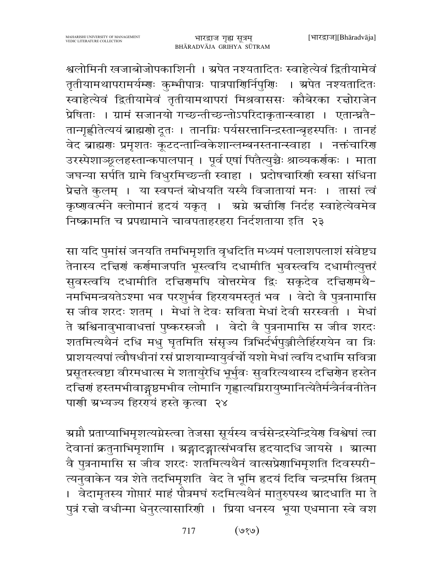श्वलोमिनी खजाबोजोपकाशिनी । ग्रपेत नश्यतादितः स्वाहेत्येवं द्वितीयामेवं तृतीयामथापरामर्यम्णः कुम्भीपात्रः पात्रपाणिर्निपुणिः । अपेत नश्यतादितः स्वाहेत्येवं द्वितीयामेवं तृतीयामथापरां मिश्रवाससः कौबेरका रच्नोराजेन प्रेषिताः । ग्रामं सजानयो गच्छन्तीच्छन्तोऽपरिदाकृतान्स्वाहा । एतान्घ्नतै-तान्गृह्णीतेत्ययं ब्राह्मणो दूतः । तानग्निः पर्यसरत्तानिन्द्रस्तान्बृहस्पतिः । तानहं वेद ब्राह्मणः प्रमृशतः कूटदन्तान्विकेशान्लम्बनस्तनान्स्वाहा । नक्तंचारिण उरस्पेशाञ्छूलहस्तान्कपालपान् । पूर्व एषां पितैत्युच्चैः श्राव्यकर्णकः । माता जघन्या सर्पति ग्रामे विधुरमिच्छन्ती स्वाहा । प्रदोषचारिणी स्वसा संधिना प्रेन्नते कुलम् । या स्वपन्तं बोधयति यस्यै विजातायां मनः । तासां त्वं कृष्णवर्त्मने क्लोमानं हृदयं यकृत् । अग्ने ग्रज्ञीणि निर्दह स्वाहेत्येवमेव निष्क्रामति च प्रपद्यामाने चावपताहरहरा निर्दशताया इति २३

सा यदि पुमांसं जनयति तमभिमृशति वृधदिति मध्यमं पलाशपलाशं संवेष्ट्य तेनास्य दच्चिणं कर्णमाजपति भूस्त्वयि दधामीति भुवस्त्वयि दधामीत्युत्तरं सुवस्त्वयि दधामीति दचिरणमपि वोत्तरमेव द्विः सकृदेव दचिरणमथै-नमभिमन्त्रयतेऽश्मा भव परशुर्भव हिररयमस्तृतं भव । वेदो वै पुत्रनामासि स जीव शरदः शतम् । मेधां ते देवः सविता मेधां देवी सरस्वती । मेधां ते ग्रश्चिनावृभावाधत्तां पुष्करस्त्रजौ । वेदो वै पुत्रनामासि स जीव शरदः शतमित्यथैनं दधि मधु घृतमिति संसृज्य त्रिभिर्दर्भपुञ्जीलैर्हिरग्येन वा त्रिः प्राशयत्यपां त्वौषधीनां रसं प्राशयाम्यायुर्वचों यशो मेथां त्वयि दधामि सवित्रा प्रसूतस्त्वष्टा वीरमधात्स मे शतायुरेधि भूर्भुवः सुवरित्यथास्य दत्त्विर्णेन हस्तेन दच्चिणं हस्तमभीवाङ्गष्ठमभीव लोमानि गृह्णात्यग्निरायुष्मानित्येतैर्मन्त्रैर्नवनीतेन पाणी ग्रभ्यज्य हिरण्यं हस्ते कृत्वा २४

ग्र्म्यौ प्रताप्याभिमृशत्यग्रेस्त्वा तेजसा सूर्यस्य वर्चसेन्द्रस्येन्द्रियेण विश्वेषां त्वा देवानां क्रतुनाभिमृशामि । ग्रङ्गादङ्गात्संभवसि हृदयादधि जायसे । ग्रात्मा वै पुत्रनामासि स जीव शरदः शतमित्यथैनं वात्सप्रेणाभिमृशति दिवस्परी-त्यनुवाकेन यत्र शेते तदभिमृशति वेद ते भूमि हृदयं दिवि चन्द्रमसि श्रितम् । वेदामृतस्य गोप्तारं माहं पौत्रमघं रुदमित्यथैनं मातुरुपस्थ स्रादधाति मा ते पुत्रं रत्नो वधीन्मा धेनुरत्यासारिणी । प्रिया धनस्य भूया एधमाना स्वे वश

> $(v, v)$ 717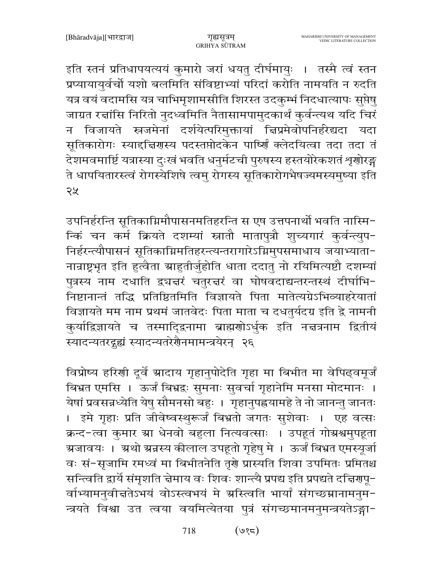इति स्तनं प्रतिधापयत्ययं कुमारो जरां धयतु दीर्घमायुः । तस्मै त्वं स्तन प्रप्यायायुर्वचों यशो बलमिति संविष्टाभ्यां परिदां करोति नामयति न रुदति यत्र वयं वदामसि यत्र चाभिमृशामसीति शिरस्त उदकुम्भं निदधात्यापः सुप्तेषु जाग्रत रच्चांसि निरितो नुदध्वमिति नैतासामपामुदकार्थं कुर्वन्त्यथ यदि चिरं न विजायते स्रजमेनां दर्शयेत्परिमुक्तायां चिप्रमेवोपनिर्हरेद्यदा यदा सूतिकारोगः स्याद्दिज्ञिगस्य पदस्तप्तोदकेन पार्ष्णिं क्लेदयित्वा तदा तदा तं देशमवमार्ष्टि यत्रास्या दुःखं भवति धनुर्मटची पुरुषस्य हस्तयोरेकशतं शृणोरङ्ग .<br>ते धापयितारस्त्वं रोगस्येशिषे त्वम् रोगस्य सूतिकारोगभैषज्यमस्यमुष्या इति २५

उपनिर्हरन्ति सूतिकाग्निमौपासनमतिहरन्ति स एष उत्तपनार्थो भवति नास्मि-न्किं चन कर्म क्रियते दशम्यां स्नातौ मातापुत्रौ शुच्यगारं कुर्वन्त्युप-निर्हरन्त्यौपासनं सूतिकाग्निमतिहरन्त्यन्तरागारेऽग्निमुपसमाधाय जयाभ्याता-नान्राष्ट्रभृत इति हुत्वैता स्राहुतीर्जुहोति धाता ददातु नो रयिमित्यष्टौ दशम्यां पुत्रस्य नाम दधाति द्र्यज्ञरं चतुरज्ञरं वा घोषवदाद्यन्तरन्तस्थं दीर्घाभि-.<br>निष्टानान्तं तद्धि प्रतिष्ठितमिति विज्ञायते पिता मातेत्यग्रेऽभिव्याहरेयातां विज्ञायते मम नाम प्रथमं जातवेदः पिता माता च दधतुर्यदग्र इति द्वे नामनी कुर्याद्विज्ञायते च तस्मादिद्वनामा ब्राह्मणोऽर्धुक इति नच्नत्रनाम द्वितीयं स्यादन्यतरदृह्यं स्यादन्यतरेरौनमामन्त्रयेरन् २६

विप्रोष्य हरिणी दुर्वे ग्रादाय गृहानुपोदेति गृहा मा बिभीत मा वेपिढ्वमूर्जं बिभ्रत एमसि । ऊर्जं बिभ्रद्वः सुमनाः सुवर्चा गृहानेमि मनसा मोदमानः । येषां प्रवसन्नध्येति येषु सौमनसो बहुः । गृहानुपह्नयामहे ते नो जानन्तु जानतः । इमे गृहाः प्रति जीवेष्वस्थुरूर्जं बिभ्रतो जगतः सुशेवाः । एह वत्सः क्रन्द-त्वा कुमार ग्रा धेनवो बहुला नित्यवत्साः । उपहूतं गोग्रश्वमुपहूता ग्रजावयः । अथो ग्रन्नस्य कीलाल उपहूतो गृहेषु मे । ऊर्जं बिभ्रत एमस्यूर्जा वः सं-सृजामि रमध्वं मा बिभीतनेति तृशे प्रास्यति शिवा उपमितः प्रमितश्च सन्त्विति द्वार्ये संमृशति चेमाय वः शिवः शान्त्यै प्रपद्य इति प्रपद्यते दच्चिरणपू-र्वाभ्यामनुवीचतेऽभयं वोऽस्त्वभयं मे ग्रस्त्विति भार्यां संगच्छम्नानामनुम-न्त्रयते विश्वा उत त्वया वयमित्येतया पुत्रं संगच्छमानमनुमन्त्रयतेऽङ्गा-

> $($ ७१८) 718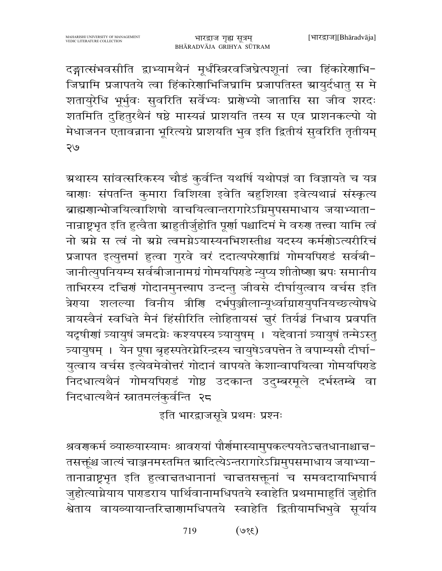दङ्गात्संभवसीति द्वाभ्यामथैनं मूर्धंस्त्रिरवजिघ्रेत्पशूनां त्वा हिंकारेणाभि-जिघ्रामि प्रजापतये त्वा हिंकारेणाभिजिघ्रामि प्रजापतिस्त स्रायुर्दधातु स मे शतायुरेधि भूर्भुवः सुवरिति सर्वेभ्यः प्राग्रेभ्यो जातासि सा जीव शरदः शतमिति दुहितुरथैनं षष्ठे मास्यन्नं प्राशयति तस्य स एव प्राशनकल्पो यो मेधाजनन एतावन्नाना भूरित्यग्रे प्राशयति भुव इति द्वितीयं सुवरिति तृतीयम् २७

ग्रथास्य सांवत्सरिकस्य चौडं कुर्वन्ति यथर्षि यथोपज्ञं वा विज्ञायते च यत्र बाणाः संपतन्ति कुमारा विशिखा इवेति बहुशिखा इवेत्यथान्नं संस्कृत्य बाह्मणान्भोजयित्वाशिषो वाचयित्वान्तरागारेऽग्निमुपसमाधाय जयाभ्याता-नान्राष्ट्रभृत इति हुत्वैता स्राहुतीर्जुहोति पूर्णा पश्चादिमं मे वरुण तत्त्वा यामि त्वं नो स्रग्ने स त्वं नो स्रग्ने त्वमग्नेऽयास्यनभिशस्तीश्च यदस्य कर्मशोऽत्यरीरिचं प्रजापत इत्युत्तमां हुत्वा गुरवे वरं ददात्यपरेणाग्निं गोमयपिराडं सर्वबी-जानीत्युपनियम्य सर्वबीजानामग्रं गोमयपिराडे न्युप्य शीतोष्णा ग्रपः समानीय ताभिरस्य दच्चिणं गोदानमुनत्त्याप उन्दन्तु जीवसे दीर्घायुत्वाय वर्चस इति त्रेरया शलल्या विनीय त्रीरि दर्भपुञ्जीलान्यूर्ध्वाग्रारायुपनियच्छत्योषधे त्रायस्वैनं स्वधिते मैनं हिंसीरिति लोहितायसं ज़ुरं तिर्यञ्चं निधाय प्रवपति यदृषीणां त्र्यायुषं जमदग्नेः कश्यपस्य त्र्यायुषम् । यद्देवानां त्र्यायुषं तन्मेऽस्तु त्र्यायुषम् । येन पूषा बृहस्पतेरमेरिन्द्रस्य चायुषेऽवपत्तेन ते वपाम्यसौ दीर्घा-युत्वाय वर्चस इत्येवमेवोत्तरं गोदानं वापयते केशान्वापयित्वा गोमयपिरहे निदधात्यथैनं गोमयपिराडं गोष्ठ उदकान्त उदुम्बरमूले दर्भस्तम्बे वा निदधात्यथैनं स्नातमलंकुर्वन्ति २८

इति भारद्वाजसूत्रे प्रथमः प्रश्नः

श्रवराकर्म व्यारूयास्यामः श्रावरायां पौर्णमास्यामुपकल्पयतेऽचतधानाश्चाच-तसक्तूंश्च जात्यं चाञ्जनमस्तमित स्रादित्येऽन्तरागारेऽग्निमुपसमाधाय जयाभ्या-तानान्राष्ट्रभृत इति हुत्वाचतधानानां चाचतसक्तूनां च समवदायाभिघार्य जुहोत्याग्नेयाय पाराडराय पार्थिवानामधिपतये स्वाहेति प्रथमामाहुतिं जुहोति श्वेताय वायव्यायान्तरि<mark>त्ता</mark>णामधिपतये स्वाहेति द्वितीयामभिभुवे सूर्याय

> $(3,8)$ 719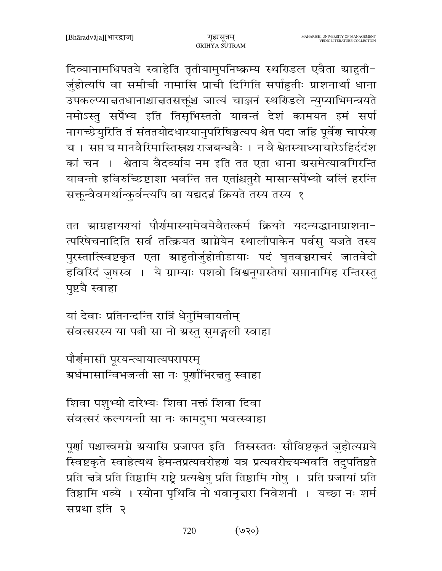दिव्यानामधिपतये स्वाहेति तृतीयामुपनिष्क्रम्य स्थरिडल एवैता ग्राहुती-र्जुहोत्यपि वा समीची नामासि प्राची दिगिति सर्पाहुतीः प्राशनार्था धाना उपकल्प्याचतधानाश्चाचतसक्तूंश्च जात्यं चाञ्जनं स्थरिडले न्युप्याभिमन्त्रयते नमोऽस्तु सर्पेभ्य इति तिसृभिस्ततो यावन्तं देशं कामयत इमं सर्पा नागच्छेयुरिति तं संततयोदधारयानुपरिषिञ्चत्यप श्वेत पदा जहि पूर्वेण चापरेण च । सप्त च मानवैरिमास्तिस्रश्च राजबन्धवैः । न वै श्वेतस्याध्याचारेऽहिर्ददंश कां चन । श्वेताय वैदर्व्याय नम इति तत एता धाना ग्रसमेत्यावगिरन्ति यावन्तो हविरुच्छिष्टाशा भवन्ति तत एतांश्चतुरो मासान्सर्पेभ्यो बलिं हरन्ति सक्तून्वैवमर्थान्कुर्वन्त्यपि वा यद्यदन्नं क्रियते तस्य तस्य १

तत भ्राग्रहायरयां पौर्यमास्यामेवमेवैतत्कर्म क्रियते यदन्यद्धानाप्राशना-त्परिषेचनादिति सर्वं तत्क्रियत स्राग्नेयेन स्थालीपाकेन पर्वस् यजते तस्य पुरस्तात्स्विष्टकृत एता स्राहुतीर्जुहोतीडायाः पदं घृतवच्चराचरं जातवेदो हविरिदं जुषस्व । ये ग्राम्याः पशवो विश्वनूपास्तेषां सप्तानामिह रन्तिरस्तु पृष्टचै स्वाहा

यां देवाः प्रतिनन्दन्ति रात्रिं धेनुमिवायतीम् संवत्सरस्य या पत्नी सा नो ग्रस्तु सुमङ्गली स्वाहा

पौर्णमासी पूरयन्त्यायात्यपरापरम् ग्रर्धमासान्विभजन्ती सा नः पूर्णाभिरत्ततु स्वाहा

शिवा पशुभ्यो दारेभ्यः शिवा नक्तं शिवा दिवा संवत्सरं कल्पयन्ती सा नः कामदुघा भवत्स्वाहा

पूर्णा पश्चात्त्वमग्ने ग्रयासि प्रजापत इति तिस्त्रस्ततः सौविष्टकृतं जुहोत्यग्नये स्विष्टकृते स्वाहेत्यथ हेमन्तप्रत्यवरोहणं यत्र प्रत्यवरोद्त्यन्भवति तदुपतिष्ठते प्रति चत्रे प्रति तिष्ठामि राष्ट्रे प्रत्यश्वेषु प्रति तिष्ठामि गोषु । प्रति प्रजायां प्रति तिष्ठामि भव्ये । स्योना पृथिवि नो भवानृत्तरा निवेशनी । यच्छा नः शर्म सप्रथा इति २

> $($ ७२०) 720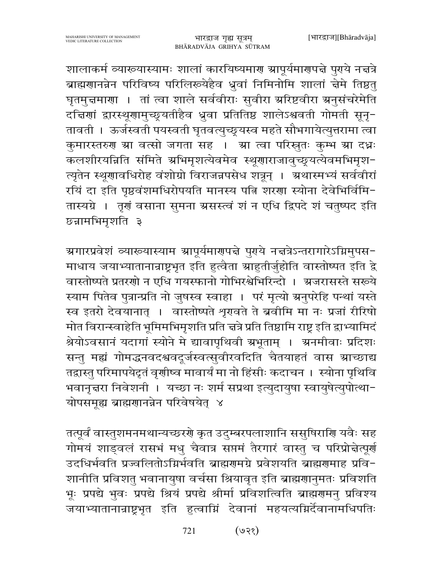शालाकर्म व्याख्यास्यामः शालां कारयिष्यमार स्रापूर्यमार्णपद्मे पुरये नद्मत्रे ब्राह्मणानन्नेन परिविष्य परिलिरूयेहैव ध्रुवां निमिनोमि शालां चेमे तिष्ठत् घृतमुच्चमाणा । तां त्वा शाले सर्ववीराः सुवीरा अरिष्टवीरा अनुसंचरेमेति दच्चिणां द्वारस्थूणामुच्छूयतीहैव ध्रुवा प्रतितिष्ठ शालेऽश्ववती गोमती सूनू-तावती । ऊर्जस्वती पयस्वती घृतवत्युच्छ्रयस्व महते सौभगायेत्युत्तरामा त्वा कुमारस्तरुण स्रा वत्सो जगता सह । स्रा त्वा परिस्नुतः कुम्भ स्रा दधः कलशीरयन्निति संमिते अभिमृशत्येवमेव स्थूणाराजावुच्छ्रयत्येवमभिमृश-त्यृतेन स्थूणावधिरोह वंशोग्रो विराजन्नपसेध शत्रून् । अथास्मभ्यं सर्ववीरां रयिं दा इति पृष्ठवंशमधिरोपयति मानस्य पत्नि शरणा स्योना देवेभिर्विमि-तास्यग्रे । तृगं वसाना सुमना ग्रसस्त्वं शं न एधि द्विपदे शं चतुष्पद इति छन्नामभिमृशति ३

ग्रगारप्रवेशं व्यारूयास्याम ग्रापूर्यमारण्पत्ते पुराये नत्तत्रेऽन्तरागारेऽग्निमुपस− माधाय जयाभ्यातानान्राष्ट्रभृत इति हुत्वैता ग्राहुतीर्जुहोति वास्तोष्पत इति द्वे वास्तोष्पते प्रतरणो न एधि गयस्फानो गोभिरश्वेभिरिन्दो । अ्जरासस्ते सरूये स्याम पितेव पुत्रान्प्रति नो जुषस्व स्वाहा । परं मृत्यो ग्रनुपरेहि पन्थां यस्ते स्व इतरो देवयानात् । वास्तोष्पते शृगवते ते ब्रवीमि मा नः प्रजां रीरिषो मोत विरान्स्वाहेति भूमिमभिमृशति प्रति चत्रे प्रति तिष्ठामि राष्ट्र इति द्वाभ्यामिदं श्रेयोऽवसानं यदागां स्योने मे द्यावापृथिवी ग्रभूताम् । अ्नमीवाः प्रदिशः सन्तु मह्यं गोमद्धनवदश्ववदूर्जस्वत्सुवीरवदिति चैतयाहतं वास स्राच्छाद्य तद्वास्तु परिमापयेदृतं वृणीष्व मावार्यं मा नो हिंसीः कदाचन । स्योना पृथिवि भवानृत्तरा निवेशनी । यच्छा नः शर्म सप्रथा इत्युदायुषा स्वायुषेत्युपोत्था-योपसमूह्य ब्राह्मणानन्नेन परिवेषयेत् ४

तत्पूर्वं वास्तुशमनमथान्यच्छररो कृत उदुम्बरपलाशानि ससुषिरागि यवैः सह गोमयं शाड्वलं रासभं मधु चैवात्र सप्तमं तैरगारं वास्तु च परिप्रोन्नेत्पूर्ण उदधिर्भवति प्रज्वलितोऽग्निर्भवति ब्राह्मणमग्रे प्रवेशयति ब्राह्मणमाह प्रवि-शानीति प्रविशतु भवानायुषा वर्चसा श्रियावृत इति ब्राह्मणानुमतः प्रविशति भूः प्रपद्ये भुवः प्रपद्ये श्रियं प्रपद्ये श्रीर्मा प्रविशत्विति ब्राह्मगमनु प्रविश्य जयाभ्यातानान्राष्ट्रभृत इति हुत्वाम्निं देवानां महयत्यम्निर्देवानामधिपतिः

> $($ ९२१) 721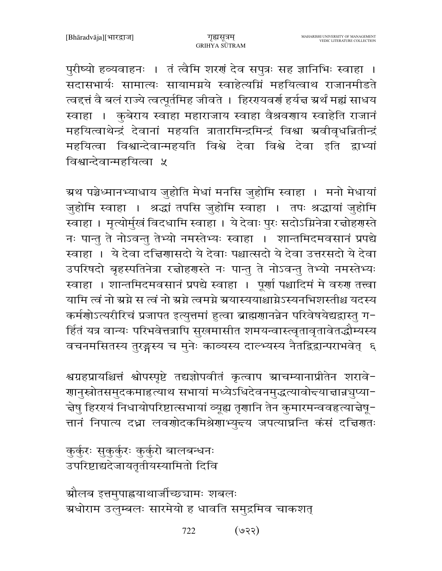ग्रौलब इत्तमुपाह्नयाथार्जीच्छ्यामः शबलः ग्रधोराम उलुम्बलः सारमेयो ह धावति समुद्रमिव चाकशत्

कुर्कुरः सुकुर्कुरः कुर्कुरो बालबन्धनः उपरिष्टाद्यदेजायतृतीयस्यामितो दिवि

श्वग्रहप्रायश्चित्तं श्वोपस्पृष्टे तद्यज्ञोपवीतं कृत्वाप स्राचम्यानाप्रीतेन शरावे-णानुस्रोतसमुदकमाहत्याथ सभायां मध्येऽधिदेवनमुद्धत्यावोद्त्याचान्नञुप्या− चेषु हिररयं निधायोपरिष्टात्सभायां व्यूह्य तृणानि तेन कुमारमन्ववहृत्याचेषू-त्तानं निपात्य दध्ना लवणोदकमिश्रेणाभ्युद्दय जपत्याघ्नन्ति कंसं दच्चिणतः

ग्रथ पञ्चेध्मानभ्याधाय जुहोति मेधां मनसि जुहोमि स्वाहा । मनो मेधायां जुहोमि स्वाहा । श्रद्धां तपसि जुहोमि स्वाहा । तपः श्रद्धायां जुहोमि स्वाहा । मृत्योर्मुखं विदधामि स्वाहा । ये देवाः पुरः सदोऽग्निनेत्रा रत्नोहरास्ते नः पान्तु ते नोऽवन्तु तेभ्यो नमस्तेभ्यः स्वाहा । शान्तमिदमवसानं प्रपद्ये स्वाहा । ये देवा दच्चिणासदो ये देवाः पश्चात्सदो ये देवा उत्तरसदो ये देवा उपरिषदो बृहस्पतिनेत्रा रज्ञोहरणस्ते नः पान्तु ते नोऽवन्तु तेभ्यो नमस्तेभ्यः स्वाहा । शान्तमिदमवसानं प्रपद्ये स्वाहा । पूर्णा पश्चादिमं मे वरुण तत्त्वा यामि त्वं नो ग्रग्ने स त्वं नो ग्रग्ने त्वमग्ने ग्रयास्ययाश्चाग्नेऽस्यनभिशस्तीश्च यदस्य कर्मणोऽत्यरीरिचं प्रजापत इत्युत्तमां हुत्वा ब्राह्मणानन्नेन परिवेषयेद्यद्वास्तु ग− र्हितं यत्र वान्यः परिभवेत्तत्रापि सुखमासीत शमयन्वास्त्वृतावृतावेतद्धौम्यस्य वचनमसितस्य तुरङ्गस्य च मुनेः काव्यस्य दाल्भ्यस्य नैतद्विद्वान्पराभवेत् ६

पुरीष्यो हव्यवाहनः । तं त्वैमि शरणं देव सपुत्रः सह ज्ञानिभिः स्वाहा । सदासभार्यः सामात्यः सायामग्नये स्वाहेत्यग्निं महयित्वाथ राजानमीडते त्वद्त्तं वै बलं राज्ये त्वत्पूर्तमिह जीवते । हिररायवर्ण हर्यज्ञ ग्रर्थं मह्यं साधय स्वाहा । कुबेराय स्वाहा महाराजाय स्वाहा वैश्रवणाय स्वाहेति राजानं महयित्वाथेन्द्रं देवानां महयति त्रातारमिन्द्रमिन्द्रं विश्वा ग्रवीवृधन्नितीन्द्रं महयित्वा विश्वान्देवान्महयति विश्वे देवा विश्वे देवा इति द्वाभ्यां विश्वान्देवान्महयित्वा ५

गुह्यसूत्रम्

GRIHYA SUTRAM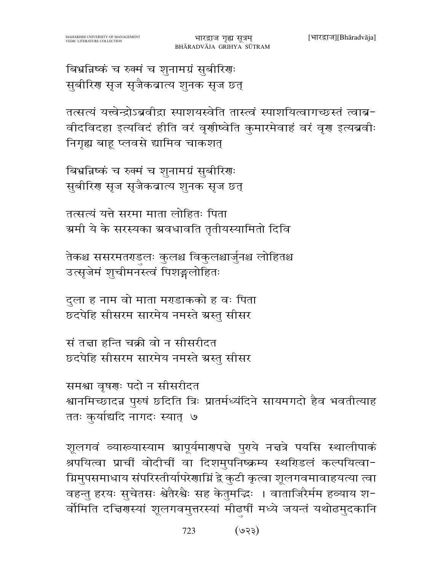बिभ्रन्निष्कं च रुक्मं च शुनामग्रं सुबीरिणः सुबीरिण सृज सृजैकवात्य शुनक सृज छत्

तत्सत्यं यत्त्वेन्द्रोऽब्रवीद्रा स्पाशयस्वेति तास्त्वं स्पाशयित्वागच्छस्तं त्वाब-वीदविदहा इत्यविदं हीति वरं वृणीष्वेति कुमारमेवाहं वरं वृण इत्यब्रवीः निगुह्य बाह प्लवसे द्यामिव चाकशत

बिभ्रन्निष्कं च रुक्मं च शुनामग्रं सुबीरिणः सुबीरिण सृज सृजैकवात्य शुनक सृज छत्

तत्सत्यं यत्ते सरमा माता लोहितः पिता ग्रमी ये के सरस्यका ग्रवधावति तृतीयस्यामितो दिवि

तेकश्च ससरमतराडलः कुलश्च विकुलश्चार्जुनश्च लोहितश्च उत्सृजेमं शुचीमनस्त्वं पिशङ्गलोहितः

दुला ह नाम वो माता मराडाकको ह वः पिता छ्दपेहि सीसरम सारमेय नमस्ते ग्रस्तु सीसर

सं तन्ना हन्ति चक्री वो न सीसरीदत छ्दपेहि सीसरम सारमेय नमस्ते ग्रस्तु सीसर

समश्रा वृषणः पदो न सीसरीदत श्वानमिच्छादन्न पुरुषं छदिति त्रिः प्रातर्मध्यंदिने सायमगदो हैव भवतीत्याह ततः कुर्याद्यदि नागदः स्यात् ७

शूलगवं व्याख्यास्याम ग्रापूर्यमार्णपत्ने पुराये नत्तत्रे पयसि स्थालीपाकं श्रपयित्वा प्राचीं वोदीचीं वा दिशमुपनिष्क्रम्य स्थरिडलं कल्पयित्वा-ग्निमुपसमाधाय संपरिस्तीर्यापरेणाम्निं द्वे कुटी कृत्वा शूलगवमावाहयत्या त्वा वहन्तु हरयः सुचेतसः श्वेतैरश्वैः सह केतुमद्भिः । वाताजिरैर्मम हव्याय श-र्वोमिति दत्तिरास्यां शूलगवमुत्तरस्यां मीढ़षीं मध्ये जयन्तं यथोढमुदकानि

> 723  $($ 93)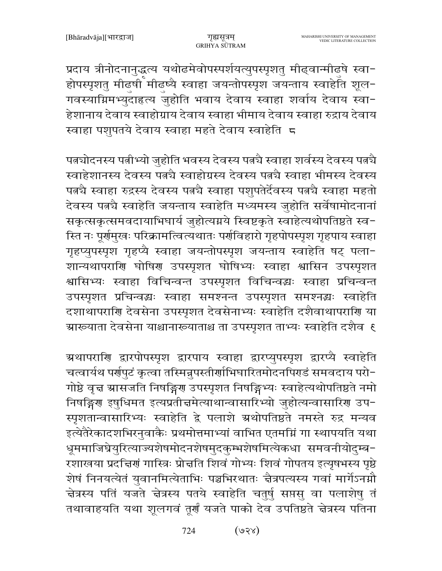प्रदाय त्रीनोदनानुद्धत्य यथोढमेवोपस्पर्शयत्युपस्पृशतु मीढ्वान्मीढुषे स्वा-होपस्पृशतु मीढ़षी मीढ़ष्यै स्वाहा जयन्तोपस्पृश जयन्ताय स्वाहेति शूल-गवस्याग्निमभ्युदाहत्य जुहोति भवाय देवाय स्वाहा शर्वाय देवाय स्वा− हेशानाय देवाय स्वाहोग्राय देवाय स्वाहा भीमाय देवाय स्वाहा रुद्राय देवाय स्वाहा पशुपतये देवाय स्वाहा महते देवाय स्वाहेति 5

पत्नचोदनस्य पत्नीभ्यो जुहोति भवस्य देवस्य पत्नचै स्वाहा शर्वस्य देवस्य पत्नचै स्वाहेशानस्य देवस्य पत्नचै स्वाहोग्रस्य देवस्य पत्नचै स्वाहा भीमस्य देवस्य पत्नचै स्वाहा रुद्रस्य देवस्य पत्नचै स्वाहा पशुपतेर्देवस्य पत्नचै स्वाहा महतो देवस्य पत्न्यै स्वाहेति जयन्ताय स्वाहेति मध्यमस्य जुहोति सर्वेषामोदनानां सकृत्सकृत्समवदायाभिघार्य जुहोत्यग्नये स्विष्टकृते स्वाहेत्यथोपतिष्ठते स्व-स्ति नः पूर्णमुखः परिक्रामत्वित्यथातः पर्णविहारो गृहपोपस्पृश गृहपाय स्वाहा गृहप्युपस्पृश गृहप्यै स्वाहा जयन्तोपस्पृश जयन्ताय स्वाहेति षट् पला-शान्यथापराणि घोषिण उपस्पृशत घोषिभ्यः स्वाहा श्वासिन उपस्पृशत श्वासिभ्यः स्वाहा विचिन्वन्त उपस्पृशत विचिन्वद्धः स्वाहा प्रचिन्वन्त उपस्पृशत प्रचिन्वद्धः स्वाहा समश्नन्त उपस्पृशत समश्नद्धः स्वाहेति दशाथापराणि देवसेना उपस्पृशत देवसेनाभ्यः स्वाहेति दशैवाथापराणि या ग्र्यारूयाता देवसेना याश्चानारूयाताश्च ता उपस्पृशत ताभ्यः स्वाहेति दशैव १

ग्रथापराणि द्वारपोपस्पृश द्वारपाय स्वाहा द्वारप्युपस्पृश द्वारप्यै स्वाहेति चत्वार्यथ पर्रापुटं कृत्वा तस्मिन्नुपस्तीर्राभिघारितमोदनपिराडं समवदाय परो-गोष्ठे वृत्त स्रासजति निषङ्गिरण उपस्पृशत निषङ्गिभ्यः स्वाहेत्यथोपतिष्ठते नमो निषङ्गिण इषुधिमत इत्यप्रतीचमेत्याथान्वासारिभ्यो जुहोत्यन्वासारिण उप-स्पृशतान्वासारिभ्यः स्वाहेति द्वे पलाशे ग्रथोपतिष्ठते नमस्ते रुद्र मन्यव इत्येतैरेकादशभिरनुवाकैः प्रथमोत्तमाभ्यां वाभित एतमग्निं गा स्थापयति यथा धूममाजिघ्रेयुरित्याज्यशेषमोदनशेषमुदकुम्भशेषमित्येकधा समवनीयोदुम्ब− रशाखया प्रदत्तिर्णं गास्त्रिः प्रोत्तति शिवं गोभ्यः शिवं गोपतय इत्यृषभस्य पृष्ठे शेषं निनयत्येतं युवानमित्येताभिः पञ्चभिरथातः चैत्रपत्यस्य गवां मार्गेऽनग्नौ चेत्रस्य पतिं यजते चेत्रस्य पतये स्वाहेति चतुर्षु सप्तसु वा पलाशेषु तं तथावाहयति यथा शूलगवं तूर्णं यजते पाको देव उपतिष्ठते चेत्रस्य पतिना

> $($ ४२४) 724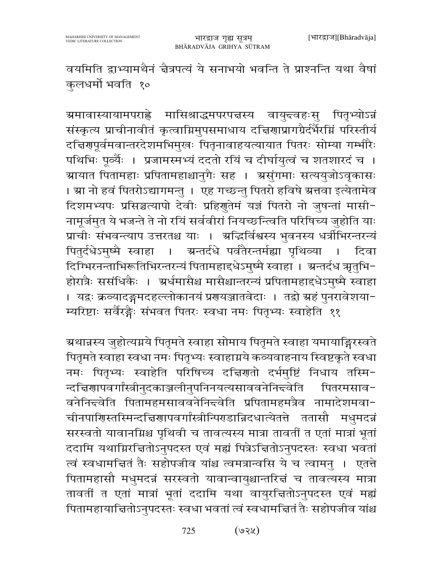वयमिति द्वाभ्यामथैनं चैत्रपत्यं ये सनाभयो भवन्ति ते प्राश्नन्ति यथा वैषां कुलधर्मो भवति १०

<mark>ग्रमावास्यायामपराह्</mark>ते मासिश्राद्धमपरपत्तस्य वायु<del>द्</del>वहःसु पितृभ्योऽन्नं संस्कृत्य प्राचीनावीतं कृत्वाग्निमुपसमाधाय दत्तिशाप्रागग्रैर्दर्भैरग्निं परिस्तीर्य दच्चिरणपूर्वमवान्तरदेशमभिमुखः पितृनावाहयत्यायात पितरः सोम्या गर्भारैः पथिभिः पूर्व्यैः । प्रजामस्मभ्यं ददतो रयिं च दीर्घायुत्वं च शतशारदं च । ग्रायात पितामहाः प्रपितामहाश्चानुगैः सह । ग्रसुंगमाः सत्ययुजोऽवृकासः । स्रा नो हवं पितरोऽद्यागमन्तु । एह गच्छन्तु पितरो हविषे स्रत्तवा इत्येतामेव दिशमभ्यपः प्रसिञ्चत्यापो देवीः प्रहिणुतेमं यज्ञं पितरो नो जुषन्तां मासी-नामूर्जमुत ये भजन्ते ते नो रयिं सर्ववीरां नियच्छन्त्विति परिषिच्य जुहोति याः प्राचीः संभवन्त्याप उत्तरतश्च याः । अद्धिर्विश्वस्य भुवनस्य धर्त्रीभिरन्तरन्यं ग्रन्तर्दधे पर्वतैरन्तर्मह्या पृथिव्या पितुर्दधेऽमुष्मै स्वाहा । दिवा  $\sim$  1 दिग्भिरनन्ताभिरूतिभिरन्तरन्यं पितामहाद्दधेऽमुष्मै स्वाहा । अन्तर्दध ऋतुभि-होरात्रैः ससंधिकैः । अर्धमासैश्च मासैश्चान्तरन्यं प्रपितामहाद्दधेऽमुष्मै स्वाहा । यद्रः क्रव्यादङ्गमदहल्लोकानयं प्रगयञ्जातवेदाः । तद्वो ग्रहं पुनरावेशया-म्यरिष्टाः सर्वैरङ्गैः संभवत पितरः स्वधा नमः पितृभ्यः स्वाहेति ११

ग्रथान्नस्य जुहोत्यग्नये पितृमते स्वाहा सोमाय पितृमते स्वाहा यमायाङ्गिरस्वते पितृमते स्वाहा स्वधा नमः पितृभ्यः स्वाहाग्नये कव्यवाहनाय स्विष्टकृते स्वधा नमः पितृभ्यः स्वाहेति परिषिच्य दच्चिणतो दर्भमुष्टिं निधाय तस्मि-न्दच्चिणापवर्गांस्त्रीनुदकाञ्जलीनुपनिनयत्यसाववनेनि<del>द</del>वेति पितरमसाव-वनेनिन्द्वेति पितामहमसाववनेनिन्द्वेति प्रपितामहमत्रैव नामादेशमवा-चीनपाणिस्तस्मिन्दच्चिणापवर्गांस्त्रीन्पिरडान्निदधात्येतत्ते ततासौ मधुमदन्नं सरस्वतो यावानम्रिश्च पृथिवी च तावत्यस्य मात्रा तावतीं त एतां मात्रां भूतां ददामि यथाग्निरचितोऽनुपदस्त एवं मह्यं पित्रेऽचितोऽनुपदस्तः स्वधा भवतां त्वं स्वधामचितं तैः सहोपजीव यांश्च त्वमत्रान्वसि ये च त्वामनु । एतत्ते पितामहासौ मधुमदन्नं सरस्वतो यावान्वायुश्चान्तरित्तं च तावत्यस्य मात्रा तावतीं त एतां मात्रां भूतां ददामि यथा वायुरचितोऽनुपदस्त एवं मह्यं पितामहायाचितोऽनुपदस्तः स्वधा भवतां त्वं स्वधामचितं तैः सहोपजीव यांश्च

> $($ ७२५) 725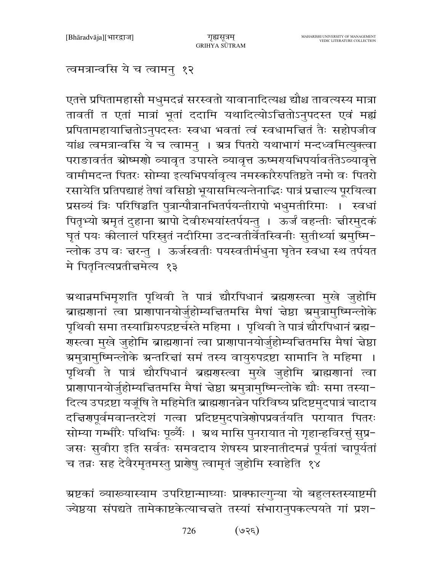त्वमत्रान्वसि ये च त्वामनु १२

एतत्ते प्रपितामहासौ मधुमदन्नं सरस्वतो यावानादित्यश्च द्यौश्च तावत्यस्य मात्रा तावतीं त एतां मात्रां भूतां ददामि यथादित्योऽचितोऽनुपदस्त एवं मह्यं प्रपितामहायाचितोऽनुपदस्तः स्वधा भवतां त्वं स्वधामचितं तैः सहोपजीव यांश्च त्वमत्रान्वसि ये च त्वामनु । ग्रत्र पितरो यथाभागं मन्दध्वमित्युक्त्वा पराङावर्तत स्रोष्मणो व्यावृत उपास्ते व्यावृत्त ऊष्मरायभिपर्यावर्ततेऽव्यावृत्ते वामीमदन्त पितरः सोम्या इत्यभिपर्यावृत्य नमस्कारैरुपतिष्ठते नमो वः पितरो रसायेति प्रतिपद्याहं तेषां वसिष्ठो भूयासमित्यन्तेनाद्धिः पात्रं प्रत्नाल्य पूरयित्वा प्रसव्यं त्रिः परिषिञ्चति पुत्रान्पौत्रानभितर्पयन्तीरापो भधुमतीरिमाः । स्वधां पितृभ्यो ग्रमतं दुहाना ग्रापो देवीरुभयांस्तर्पयन्तु । ऊर्जं वहन्तीः ज्ञीरमुदकं घृतं पयः कीलालं परिस्रुतं नदीरिमा उदन्वतीर्वेतस्विनीः सुतीर्थ्या ग्रमुष्मि-न्लोक उप वः चरन्तु । ऊर्जस्वतीः पयस्वतीर्मधुना घृतेन स्वधा स्थ तर्पयत मे पितृनित्यप्रतीचमेत्य १३

ग्रथान्नमभिमृशति पृथिवी ते पात्रं द्यौरपिधानं ब्रह्मगस्त्वा मुखे जुहोमि ब्राह्मणानां त्वा प्राणापानयोर्जुहोम्यचितमसि मैषां चेष्ठा ग्रमुत्रामुष्मिन्लोके पृथिवी समा तस्याग्निरुपद्रष्टर्चस्ते महिमा । पृथिवी ते पात्रं द्यौरपिधानं ब्रह्म-गस्त्वा मुखे जुहोमि ब्राह्मगानां त्वा प्रागापानयोर्जुहोम्यचितमसि मैषां चेष्ठा ग्रमुत्रामुष्मिन्लोके ग्रन्तरित्तां समं तस्य वायुरुपद्रष्टा सामानि ते महिमा । पृथिवी ते पात्रं द्यौरपिधानं ब्रह्मरास्त्वा मुखे जुहोमि ब्राह्मराानां त्वा प्राणापानयोर्जुहोम्यचितमसि मैषां चेष्ठा ग्रमुत्रामुष्मिन्लोके द्यौः समा तस्या-दित्य उपद्रष्टा यजूंषि ते महिमेति ब्राह्मणानन्नेन परिविष्य प्रदिष्टमुदपात्रं चादाय दच्चिरणपूर्वमवान्तरदेशं गत्वा प्रदिष्टमुदपात्रेणोपप्रवर्तयति परायात पितरः सोम्या गर्भ्भारैः पथिभिः पूर्व्यैः । अथ मासि पुनरायात नो गृहान्हविरत्तुं सुप्र-जसः सुवीरा इति सर्वतः समवदाय शेषस्य प्राश्नातीदमन्नं पूर्यतां चापूर्यतां च तन्नः सह देवैरमृतमस्तु प्रार्णेषु त्वामृतं जुहोमि स्वाहेति १४

ग्रष्टकां व्याख्यास्याम उपरिष्टान्माघ्याः प्राक्फाल्गुन्या यो बहुलस्तस्याष्टमी ज्येष्ठया संपद्यते तामेकाष्टकेत्याचत्तते तस्यां संभारानुपकल्पयते गां प्रश-

> $(350)$ 726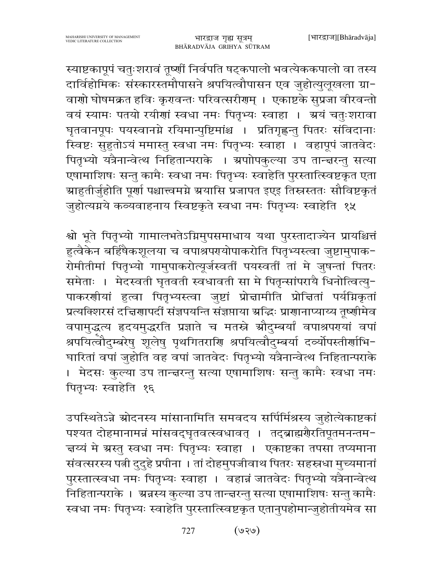स्याष्टकापूपं चतुःशरावं तूष्णीं निर्वपति षट्कपालो भवत्येककपालो वा तस्य दार्विहोमिकः संस्कारस्तमौपासने श्रपयित्वौपासन एव जुहोत्युलूखला ग्रा-वाणो घोषमक्रत हविः कृरावन्तः परिवत्सरीराम् । एकाष्टके सुप्रजा वीरवन्तो वयं स्यामः पतयो रयीणां स्वधा नमः पितृभ्यः स्वाहा । अ्रयं चतुःशरावा घृतवानपूपः पयस्वानग्ने रयिमान्पुष्टिमांश्च । प्रतिगृह्णन्तु पितरः संविदानाः स्विष्टः सुहुतोऽयं ममास्तु स्वधा नमः पितृभ्यः स्वाहा । वहापूपं जातवेदः पितृभ्यो यत्रैनान्वेत्थ निहितान्पराके । ग्रपाोपकुल्या उप तान्त्वरन्तु सत्या एषामाशिषः सन्तु कामैः स्वधा नमः पितृभ्यः स्वाहेति पुरस्तात्स्विष्टकृत एता ग्राहुतीर्जुहोति पूर्णा पश्चात्त्वमग्ने ग्रयासि प्रजापत इएइ तिस्रस्ततः सौविष्टकृतं जुहोत्यग्नये कव्यवाहनाय स्विष्टकृते स्वधा नमः पितृभ्यः स्वाहेति १५

श्वो भूते पितृभ्यो गामालभतेऽग्निमुपसमाधाय यथा पुरस्तादाज्येन प्रायश्चित्तं हुत्वैकेन बर्हिषैकशूलया च वपाश्रपरयोपाकरोति पितृभ्यस्त्वा जुष्टामुपाक-रोमीतीमां पितृभ्यो गामुपाकरोत्यूर्जस्वतीं पयस्वतीं तां मे जुषन्तां पितरः समेताः । मेदस्वती घृतवती स्वधावती सा मे पितृन्सांपरायै धिनोत्वित्यु-पाकरणीयां हुत्वा पितृभ्यस्त्वा जुष्टां प्रोन्नामीति प्रोन्नितां पर्याग्नकृतां प्रत्यक्शिरसं दत्तिराापदीं संज्ञपयन्ति संज्ञप्ताया अद्धिः प्राराानाप्याय्य तृष्णीमेव वपामुद्धत्य हृदयमुद्धरति प्रज्ञाते च मतस्ने स्रौदुम्बर्यां वपाश्रपरायां वपां श्रपयित्वौदुम्बरेषु शूलेषु पृथगितराणि श्रपयित्वौदुम्बर्या दर्व्योपस्तीर्णाभि-घारितां वपां जुहोति वह वपां जातवेदः पितृभ्यो यत्रैनान्वेत्थ निहितान्पराके । मेदसः कुल्या उप तान्द्वरन्तु सत्या एषामाशिषः सन्तु कामैः स्वधा नमः पितृभ्यः स्वाहेति १६

उपस्थितेऽन्ने स्रोदनस्य मांसानामिति समवदय सर्पिर्मिश्रस्य जुहोत्येकाष्टकां पश्यत दोहमानामन्नं मांसवद्घृतवत्स्वधावत् । तद्ब्राह्मगैरतिपूतमनन्तम-त्तय्यं मे ग्रस्तु स्वधा नमः पितृभ्यः स्वाहा । एकाष्टका तपसा तप्यमाना संवत्सरस्य पत्नी दुदुहे प्रपीना । तां दोहमुपजीवाथ पितरः सहस्रधा मुच्यमानां पुरस्तात्स्वधा नमः पितृभ्यः स्वाहा । वहान्नं जातवेदः पितृभ्यो यत्रैनान्वेत्थ निहितान्पराके । अन्नस्य कुल्या उप तान्द्वरन्तु सत्या एषामाशिषः सन्तु कामैः स्वधा नमः पितृभ्यः स्वाहेति पुरस्तात्स्विष्टकृत एतानुपहोमान्जुहोतीयमेव सा

> $($ ९२७) 727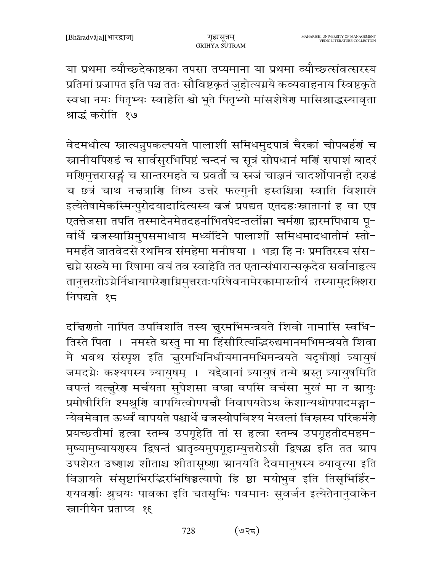या प्रथमा व्यौच्छदेकाष्टका तपसा तप्यमाना या प्रथमा व्यौच्छत्संवत्सरस्य प्रतिमां प्रजापत इति पञ्च ततः सौविष्टकृतं जुहोत्यग्नये कव्यवाहनाय स्विष्टकृते स्वधा नमः पितृभ्यः स्वाहेति श्वो भूते पितृभ्यो मांसशेषेण मासिश्राद्धस्यावृता श्राद्धं करोति १७

वेदमधीत्य स्नात्यन्नुपकल्पयते पालाशीं समिधमुदपात्रं चैरकां चीपबर्हणं च स्नानीयपिराडं च सार्वसुरभिपिष्टं चन्दनं च सूत्रं सोपधानं मर्णि सपाशं बादरं मणिमुत्तरासङ्गं च सान्तरमहते च प्रवर्तौ च स्त्रजं चाञ्जनं चादर्शोपानहौ दर्गडं च छत्रं चाथ नज्ञत्राणि तिष्य उत्तरे फल्गुनी हस्तश्चित्रा स्वाति विशाखे इत्येतेषामेकस्मिन्पुरोदयादादित्यस्य व्रजं प्रपद्यत एतदहःस्नातानां ह वा एष एतत्तेजसा तपति तस्मादेनमेतदहर्नाभितपेदन्तर्लोम्ना चर्मणा द्वारमपिधाय पू-र्वार्धे बजस्याग्निमुपसमाधाय मध्यंदिने पालाशीं समिधमादधातीमं स्तो-ममहते जातवेदसे रथमिव संमहेमा मनीषया । भद्रा हि नः प्रमतिरस्य संस-द्यग्ने सरूये मा रिषामा वयं तव स्वाहेति तत एतान्संभारान्सकृदेव सर्वानाहृत्य तानुत्तरतोऽग्नेर्निधायापरेणाग्निमुत्तरतःपरिषेवनामेरकामास्तीर्य तस्यामुदक्शिरा निपद्यते १८

दच्चिणतो नापित उपविशति तस्य नुरमभिमन्त्रयते शिवो नामासि स्वधि-तिस्ते पिता । नमस्ते ग्रस्तु मा मा हिंसीरित्यद्भिरुद्यमानमभिमन्त्रयते शिवा मे भवथ संस्पृश इति नुरमभिनिधीयमानमभिमन्त्रयते यदृषीणां त्र्यायुषं जमदग्नेः कश्यपस्य त्र्यायुषम् । यद्देवानां त्र्यायुषं तन्मे ग्रस्तु त्र्यायुषमिति वपन्तं यत्तूरेण मर्चयता सुपेशसा वप्त्रा वपसि वर्चसा मुखं मा न ग्रायुः प्रमोषीरिति श्मश्रूणि वापयित्वोपपत्तौ निवापयतेऽथ केशान्यथोपपादमङ्गा-न्येवमेवात ऊर्ध्वं वापयते पश्चार्धे व्रजस्योपविश्य मेखलां विस्नस्य परिकर्मर्णे प्रयच्छतीमां हत्वा स्तम्ब उपगूहेति तां स हत्वा स्तम्ब उपगूहतीदमहम-मुष्यामुष्यायरणस्य द्विषन्तं भ्रातृव्यमुपगूहाम्युत्तरोऽसौ द्विषद्ध इति तत स्राप उपशेरत उष्णाश्च शीताश्च शीतासूष्णा ग्रानयति दैवमानुषस्य व्यावृत्या इति विज्ञायते संसृष्टाभिरद्धिरभिषिञ्चत्यापो हि ष्ठा मयोभुव इति तिसृभिर्हिर-रायवर्णाः श्रुचयः पावका इति चतसृभिः पवमानः सुवर्जन इत्येतेनानुवाकेन स्नानीयेन प्रताप्य १६

> $($ ७२८) 728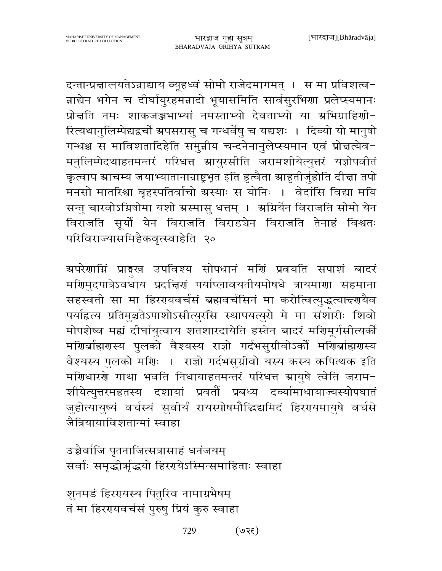दन्तान्प्रन्नालयतेऽन्नाद्याय व्यूहध्वं सोमो राजेदमागमत् । स मा प्रविशत्व-न्नाद्येन भगेन च दीर्घायुरहमन्नादो भूयासमिति सार्वसुरभिणा प्रलेप्स्यमानः प्रोत्तति नमः शाकजञ्जभाभ्यां नमस्ताभ्यो देवताभ्यो या अभिग्राहिणी-रित्यथानुलिम्पेद्यद्वर्चो ग्रपसरासु च गन्धर्वेषु च यद्यशः । दिव्यो यो मानुषो गन्धश्च स माविशतादिहेति समुन्नीय चन्दनेनानुलेप्स्यमान एवं प्रोत्तत्येव-मनुलिम्पेदथाहतमन्तरं परिधत्त स्रायुरसीति जरामशीयेत्युत्तरं यज्ञोपवीतं कृत्वाप स्राचम्य जयाभ्यातानान्राष्ट्रभृत इति हुत्वैता स्राहुतीर्जुहोति दीचा तपो मनसो मातरिश्वा बृहस्पतिर्वाचो ग्रस्याः स योनिः । वेदांसि विद्या मयि सन्तु चारवोऽग्निषोमा यशो ग्रस्मासु धत्तम् । अग्निर्येन विराजति सोमो येन विराजति सूर्यो येन विराजति विराडचेन विराजति तेनाहं विश्वतः परिविराज्यासमिहैकवृत्स्वाहेति २०

ग्रपरेणाम्निं प्राङ्गस्व उपविश्य सोपधानं मणिं प्रवयति सपाशं बादरं मणिमुदपात्रेऽवधाय प्रदत्तिणं पर्याप्लावयतीयमोषधे त्रायमाणा सहमाना सहस्वती सा मा हिररयवर्चसं ब्रह्मवर्चसिनं मा करोत्वित्युद्धत्यान्दर्णयैव पर्याहृत्य प्रतिमुञ्चतेऽपाशोऽसीत्युरसि स्थापयत्युरो मे मा संशारीः शिवो मोपशेष्व मह्यं दीर्घायुत्वाय शतशारदायेति हस्तेन बादरं मणिमूर्गसीत्यर्की मणिर्ब्राह्मणस्य पुलको वैश्यस्य राज्ञो गर्दभसुग्रीवोऽर्को मणिर्ब्राह्मणस्य वैश्यस्य पुलको मणिः । राज्ञो गर्दभसुग्रीवो यस्य कस्य कपित्थक इति मणिधारणे गाथा भवति निधायाहतमन्तरं परिधत्त स्रायुषे त्वेति जराम-शीयेत्युत्तरमहतस्य दशायां प्रवर्तौ प्रबध्य दव्यांमाधायाज्यस्योपघातं जुहोत्यायुष्यं वर्चस्यं सुवीर्यं रायस्पोषमौद्धिद्यमिदं हिररयमायुषे वर्चसे जैत्रियायाविशतान्मां स्वाहा

उच्चैर्वाजि पृतनाजित्सत्रासाहं धनंजयम् सर्वाः समृद्धीर्भ्रद्धयो हिरएयेऽस्मिन्समाहिताः स्वाहा

शुनमडं हिररयस्य पितुरिव नामाग्रभैषम् तं मा हिररयवर्चसं पुरुषु प्रियं कुरु स्वाहा

> $(35e)$ 729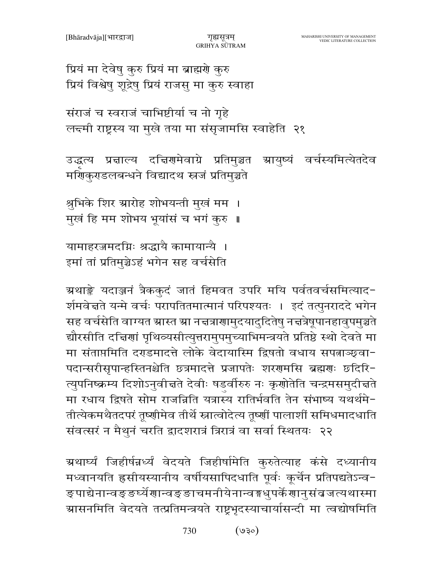प्रियं मा देवेषु कुरु प्रियं मा ब्राह्मणे कुरु प्रियं विश्वेषु शूद्रेषु प्रियं राजसु मा कुरु स्वाहा

संराजं च स्वराजं चाभिष्टीर्या च नो गृहे लन्दमी राष्ट्रस्य या मुखे तया मा संसृजामसि स्वाहेति २१

उद्धत्य प्रचाल्य दचिरणमेवाग्रे प्रतिमुञ्चत स्रायुष्यं वर्चस्यमित्येतदेव मर्ग्णिकुराडलबन्धने विद्यादथ स्त्रजं प्रतिमुञ्चते

श्रुभिके शिर ग्रारोह शोभयन्ती मुखं मम । मुखं हि मम शोभय भूयांसं च भगं कुरु ॥

यामाहरज्जमदग्निः श्रद्धायै कामायान्यै । इमां तां प्रतिमुञ्चेऽहं भगेन सह वर्चसेति

ग्रथाङ्के यदाञ्जनं त्रैककुदं जातं हिमवत उपरि मयि पर्वतवर्चसमित्याद-र्शमवे ज्ञते यन्मे वर्चः परापतितमात्मानं परिपश्यतः । इदं तत्पुनराददे भगेन सह वर्चसेति वाग्यत स्रास्त स्रा नचत्राणामुदयादुदितेषु नचत्रेषुपानहावुपमुञ्चते द्यौरसीति दच्चिणां पृथिव्यसीत्युत्तरामुपमुच्याभिमन्त्रयते प्रतिष्ठे स्थो देवते मा मा संताप्तमिति दराडमादत्ते लोके वेदायास्मि द्विषतो वधाय सपत्नाञ्छ्वा-पदान्सरीसृपान्हस्तिनश्चेति छत्रमादत्ते प्रजापतेः शरणमसि ब्रह्मणः छदिरि-त्युपनिष्क्रम्य दिशोऽनुवीचते देवीः षडर्वीरुरु नः कृणोतेति चन्द्रमसमुदीचते मा रधाय द्विषते सोम राजन्निति यत्रास्य रातिर्भवति तेन संभाष्य यथर्थमे-तीत्येकमथैतदपरं तृष्णीमेव तीर्थे स्नात्वोदेत्य तृष्णीं पालाशीं समिधमादधाति संवत्सरं न मैथुनं चरति द्वादशरात्रं त्रिरात्रं वा सर्वा स्थितयः २२

ग्रथार्घ्यं जिहीर्षन्नर्ध्यं वेदयते जिहीर्षामेति कुरुतेत्याह कंसे दध्यानीय मध्वानयति हृसीयस्यानीय वर्षीयसापिदधाति पूर्वः कूर्चेन प्रतिपद्यतेऽन्व-ङ्पाद्येनान्वङ्ङर्घ्येणान्वङ्ङाचमनीयेनान्वङ्गधुपर्केणानुसंबजत्यथास्मा ग्रासनमिति वेदयते तत्प्रतिमन्त्रयते राष्ट्रभृदस्याचार्यासन्दी मा त्वद्योषमिति

> $($ ०६९) 730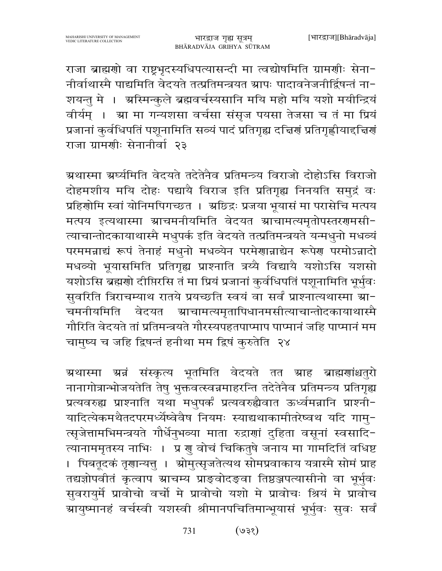राजा ब्राह्मणो वा राष्ट्रभृदस्यधिपत्यासन्दी मा त्वद्योषमिति ग्रामणीः सेना-नीर्वाथास्मै पाद्यमिति वेदयते तत्प्रतिमन्त्रयत स्रापः पादावनेजनीर्द्विषन्तं ना-शयन्तु मे । अस्मिन्कुले ब्रह्मवर्चस्यसानि मयि महो मयि यशो मयीन्द्रियं वीर्यम् । स्रा मा गन्यशसा वर्चसा संसृज पयसा तेजसा च तं मा प्रियं प्रजानां कुर्वधिपतिं पशूनामिति सव्यं पादं प्रतिगृह्य दच्चिणं प्रतिगृह्णीयाद्दचिणं राजा ग्रामणीः सेनानीर्वा २३

ग्रथास्मा ग्रर्घ्यमिति वेदयते तदेतेनैव प्रतिमन्त्र्य विराजो दोहोऽसि विराजो दोहमशीय मयि दोहः पद्यायै विराज इति प्रतिगृह्य निनयति समुद्रं वः प्रहिशोमि स्वां योनिमपिगच्छत । अछिद्रः प्रजया भूयासं मा परासेचि मत्पय मत्पय इत्यथास्मा स्राचमनीयमिति वेदयत स्राचामत्यमृतोपस्तरगमसी-त्याचान्तोदकायाथास्मै मधुपर्क इति वेदयते तत्प्रतिमन्त्रयते यन्मधुनो मधव्यं परममन्नाद्यं रूपं तेनाहं मधुनो मधव्येन परमेणान्नाद्येन रूपेण परमोऽन्नादो मधव्यो भूयासमिति प्रतिगृह्य प्राश्नाति त्रय्यै विद्यायै यशोऽसि यशसो यशोऽसि ब्रह्मणो दीप्तिरसि तं मा प्रियं प्रजानां कुर्वधिपतिं पशूनामिति भूर्भुवः सुवरिति त्रिराचम्याथ रातये प्रयच्छति स्वयं वा सर्वं प्राश्नात्यथास्मा ग्रा-चमनीयमिति वेदयत स्राचामत्यमृतापिधानमसीत्याचान्तोदकायाथास्मै गौरिति वेदयते तां प्रतिमन्त्रयते गौरस्यपहतपाप्माप पाप्मानं जहि पाप्मानं मम चामुष्य च जहि द्विषन्तं हनीथा मम द्विषं कुरुतेति २४

ग्रथास्मा ग्रन्नं संस्कृत्य भूतमिति वेदयते तत ग्राह ब्राह्मणांश्चतुरो नानागोत्रान्भोजयतेति तेषु भुक्तवत्स्वन्नमाहरन्ति तदेतेनैव प्रतिमन्त्र्य प्रतिगृह्य प्रत्यवरुह्य प्राश्नाति यथा मधुपर्कं प्रत्यवरुह्यैवात ऊर्ध्वमन्नानि प्राश्नी-यादित्येकमथैतदपरमध्यैष्वेवैष नियमः स्याद्यथाकामीतरेष्वथ यदि गामु-त्सृजेत्तामभिमन्त्रयते गौर्धेनुभव्या माता रुद्राणां दुहिता वसूनां स्वसादि-त्यानाममृतस्य नाभिः । प्र गु वोचं चिकितुषे जनाय मा गामदितिं वधिष्ट । पिबतूदकं तृणान्यत्तु । ग्रोमुत्सृजतेत्यथ सोमप्रवाकाय यत्रास्मै सोमं प्राह तद्यज्ञोपवीतं कृत्वाप स्राचम्य प्राङ्वोदङ्वा तिष्ठञ्जपत्यासीनो वा भूर्भुवः सुवरायुर्मे प्रावोचो वर्चो मे प्रावोचो यशो मे प्रावोचः श्रियं मे प्रावोच ग्रायुष्मानहं वर्चस्वी यशस्वी श्रीमानपचितिमान्भूयासं भूर्भुवः सुवः सर्वं

> $($ १६९) 731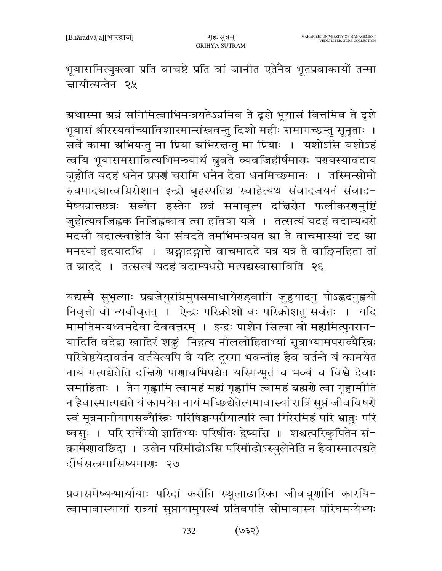भूयासमित्युक्त्वा प्रति वाचष्टे प्रति वां जानीत एतेनैव भूतप्रवाकायों तन्मा न्नायीत्यन्तेन २५

ग्रथास्मा ग्रन्नं सनिमित्वाभिमन्त्रयतेऽन्नमिव ते दृशे भूयासं वित्तमिव ते दृशे भूयासं श्रीरस्यर्वाच्याविशास्मान्संस्रवन्तु दिशो महीः समागच्छन्तु सूनृताः । सर्वे कामा अभियन्तु मा प्रिया अभिरत्तन्तु मा प्रियाः । यशोऽसि यशोऽहं त्वयि भूयासमसावित्यभिमन्त्र्यार्थं ब्रुवते व्यवजिहीर्षमाराः परायस्यावदाय जुहोति यदहं धनेन प्रपणं चरामि धनेन देवा धनमिच्छमानः । तस्मिन्सोमो रुचमादधात्वमिरीशान इन्द्रो बृहस्पतिश्च स्वाहेत्यथ संवादजयनं संवाद-मेष्यन्नात्तछत्रः सव्येन हस्तेन छत्रं समावृत्य दच्चिर्णेन फलीकरणमुष्टिं जुहोत्यवजिह्नक निजिह्नकाव त्वा हविषा यजे । तत्सत्यं यदहं वदाम्यधरो मदसौ वदात्स्वाहेति येन संवदते तमभिमन्त्रयत म्रा ते वाचमास्यां दद म्रा मनस्यां हृदयादधि । अङ्गादङ्गात्ते वाचमाददे यत्र यत्र ते वाङ्निहिता तां त म्राददे । तत्सत्यं यदहं वदाम्यधरो मत्पद्यस्वासाविति २६

यद्यस्मै सुभृत्याः प्रव्रजेयुरग्निमुपसमाधायेराड्वानि जुहुयादनु पोऽह्वदनुह्वयो निवृत्तो वो न्यवीवृतत् । ऐन्द्रः परिक्रोशो वः परिक्रोशतु सर्वतः । यदि मामतिमन्यध्वमदेवा देववत्तरम् । इन्द्रः पाशेन सित्वा वो मह्यमित्पुनरान-यादिति वदेद्वा खादिरं शङ्कं निहत्य नीललोहिताभ्यां सूत्राभ्यामपसव्यैस्त्रिः परिवेष्टयेदावर्तन वर्तयेत्यपि वै यदि दूरगा भवन्तीह हैव वर्तन्ते यं कामयेत नायं मत्पद्येतेति दच्चिणे पाणावभिपद्येत यस्मिन्भूतं च भव्यं च विश्वे देवाः समाहिताः । तेन गृह्णामि त्वामहं मह्यं गृह्णामि त्वामहं ब्रह्मणे त्वा गृह्णामीति न हैवास्मात्पद्यते यं कामयेत नायं मच्छिद्येतेत्यमावास्यां रात्रिं सुप्तं जीवविषणे स्वं मूत्रमानीयापसव्यैस्त्रिः परिषिञ्चन्परीयात्परि त्वा गिरेरमिहं परि भ्रातुः परि ष्वसुः । परि सर्वेभ्यो ज्ञातिभ्यः परिषीतः द्वेष्यसि ॥ शश्वत्परिकुपितेन सं-क्रामेणावछिदा । उलेन परिमीढोऽसि परिमीढोऽस्युलेनेति न हैवास्मात्पद्यते दीर्घसत्त्रमासिष्यमाराः २७

प्रवासमेष्यन्भार्यायाः परिदां करोति स्थूलाढारिका जीवचूर्णानि कारयि-त्वामावास्यायां रात्र्यां सुप्तायामुपस्थं प्रतिवपति सोमावास्य परिघमन्येभ्यः

> $($ ولا $)$ 732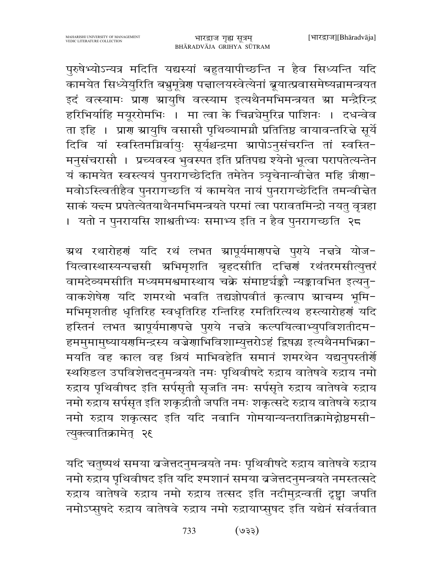पुरुषेभ्योऽन्यत्र मदिति यद्यस्यां बहुतयापीच्छन्ति न हैव सिध्यन्ति यदि कामयेत सिध्येयुरिति बभ्रुमूत्रेण पद्मालयस्वेत्येनां ब्रूयात्प्रवासमेष्यन्नामन्त्रयत इदं वत्स्यामः प्राण स्रायुषि वत्स्याम इत्यथैनमभिमन्त्रयत स्रा मन्द्रैरिन्द्र हरिभिर्याहि मयूररोमभिः । मा त्वा के चिन्नचेमुरिन्न पाशिनः । दधन्वेव ता इहि । प्राण ग्रायुषि वसासौ पृथिव्यामग्नौ प्रतितिष्ठ वायावन्तरित्ते सूर्ये दिवि यां स्वस्तिमग्निर्वायुः सूर्यश्चन्द्रमा ग्रापोऽनुसंचरन्ति तां स्वस्ति-मनुसंचरासौ । प्रच्यवस्व भुवस्पत इति प्रतिपद्य श्येनो भूत्वा परापतेत्यन्तेन यं कामयेत स्वस्त्ययं पुनरागच्छेदिति तमेतेन त्र्यूचेनान्वीचेत महि त्रीणा-मवोऽस्त्वितीहैव पुनरागच्छति यं कामयेत नायं पुनरागच्छेदिति तमन्वीचेत साकं य<del>द्</del>म प्रपतेत्येतयाथैनमभिमन्त्रयते परमां त्वा परावतमिन्द्रो नयतु वृत्रहा

। यतो न पुनरायसि शाश्वतीभ्यः समाभ्य इति न हैव पुनरागच्छति २८

अथ रथारोहणं यदि रथं लभत स्रापूर्यमाणपत्ते पुराये नत्तत्रे योज-यित्वास्थास्यन्पन्नसी अभिमृशति बृहदसीति दन्निणं रथंतरमसीत्युत्तरं वामदेव्यमसीति मध्यममश्वमास्थाय चक्रे संमाष्टर्यङ्कौ न्यङ्कावभित इत्यनु-वाकशेषेण यदि शमरथो भवति तद्यज्ञोपवीतं कृत्वाप म्राचम्य भूमि-मभिमृशतीह धृतिरिह स्वधृतिरिह रन्तिरिह रमतिरित्यथ हस्त्यारोहणं यदि हस्तिनं लभत स्रापूर्यमारणपत्ते पुराये नत्तत्रे कल्पयित्वाभ्युपविशतीदम− हममुमामुष्यायरणमिन्द्रस्य वज्रेणाभिविशाम्युत्तरोऽहं द्विषद्य इत्यथैनमभिक्रा− मयति वह काल वह श्रियं माभिवहेति समानं शमरथेन यद्यनुपस्तीर्यो स्थरिडल उपविशेत्तदनुमन्त्रयते नमः पृथिवीषदे रुद्राय वातेषवे रुद्राय नमो रुद्राय पृथिवीषद इति सर्पसृतौ सृजति नमः सर्पसृते रुद्राय वातेषवे रुद्राय नमो रुद्राय सर्पसृत इति शकृद्रीतौ जपति नमः शकृत्सदे रुद्राय वातेषवे रुद्राय नमो रुद्राय शकृत्सद इति यदि नवानि गोमयान्यन्तरातिक्रामेद्गोष्ठमसी-त्युक्त्वातिक्रामेत् २६

यदि चतुष्पथं समया ब्रजेत्तदनुमन्त्रयते नमः पृथिवीषदे रुद्राय वातेषवे रुद्राय नमो रुद्राय पृथिवीषद इति यदि श्मशानं समया बजेत्तदनुमन्त्रयते नमस्तत्सदे रुद्राय वातेषवे रुद्राय नमो रुद्राय तत्सद इति नदीमुद्रन्वतीं दृष्ट्वा जपति नमोऽप्सुषदे रुद्राय वातेषवे रुद्राय नमो रुद्रायाप्सुषद इति यद्येनं संवर्तवात

> $($ 53) 733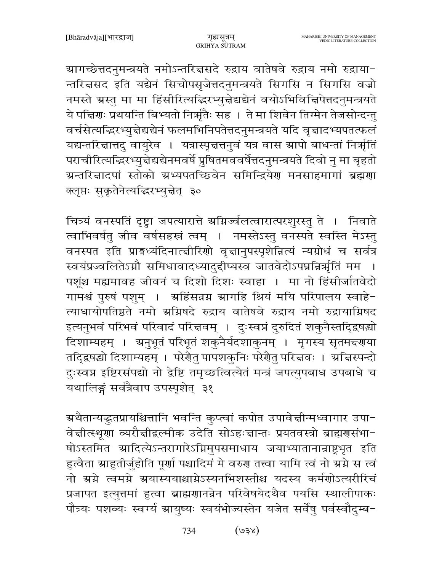ग्रागच्छेत्तदनुमन्त्रयते नमोऽन्तरित्तसदे रुद्राय वातेषवे रुद्राय नमो रुद्राया-न्तरिज्ञसद इति यद्येनं सिचोपसृजेत्तदनुमन्त्रयते सिगसि न सिगसि वज्रो नमस्ते ग्रस्तु मा मा हिंसीरित्यद्धिरभ्युन्नेद्यद्येनं वयोऽभिविन्निपेत्तदनुमन्त्रयते ये पद्मिणः प्रथयन्ति बिभ्यतो निर्ऋतैः सह । ते मा शिवेन तिग्मेन तेजसोन्दन्तु वर्चसेत्यद्भिरभ्युन्नेद्यद्येनं फलमभिनिपतेत्तदनुमन्त्रयते यदि वृत्तादभ्यपतत्फलं यद्यन्तरिज्ञात्तदु वायुरेव । यत्रास्पृत्तत्तनुवं यत्र वास स्रापो बाधन्तां निर्त्राृतिं पराचीरित्यद्धिरभ्युन्नेद्यद्येनमवर्षे प्रुषितमववर्षेत्तदनुमन्त्रयते दिवो नु मा बृहतो ग्रन्तरित्तादपां स्तोको ग्रभ्यपतच्छिवेन समिन्द्रियेण मनसाहमागां ब्रह्मणा क्लृप्तः सकृतेनेत्यज्ज्ञ्दिरभ्युन्नेत् ३०

चित्र्यं वनस्पतिं दृष्ट्वा जपत्यारात्ते श्रम्रिज्वलत्वारात्परशुरस्तु ते । निवाते त्वाभिवर्षतु जीव वर्षसहस्रं त्वम् । नमस्तेऽस्तु वनस्पते स्वस्ति मेऽस्तु वनस्पत इति प्राङ्घध्यंदिनात्त्वीरिणो वृत्तानुपस्पृशेन्नित्यं न्यग्रोधं च सर्वत्र स्वयंप्रज्वलितेऽग्नौ समिधावादध्यादुद्दीप्यस्व जातवेदोऽपघ्नन्निर्भृतिं मम पशूंश्च मह्यमावह जीवनं च दिशो दिशः स्वाहा । मा नो हिंसीर्जातवेदो गामश्वं पुरुषं पशुम् । अहिंसन्नग्न भ्रागहि श्रियं मयि परिपालय स्वाहे-त्याधायोपतिष्ठते नमो अग्निषदे रुद्राय वातेषवे रुद्राय नमो रुद्रायाग्निषद इत्यनुभवं परिभवं परिवादं परित्तवम् । दुःस्वप्नं दुरुदितं शकुनैस्तद्दिषद्यो दिशाम्यहम् । अनुभूतं परिभूतं शकुनैर्यदशाकुनम् । मृगस्य सृतमन्दराया तदिद्वषद्यो दिशाम्यहम् । परेशैतु पापशकुनिः परेशैतु परिज्ञवः । अज्ञिस्पन्दो दुःस्वप्न इष्टिरसंपद्यो नो द्वेष्टि तमृच्छत्वित्येतं मन्त्रं जपत्युपबाध उपबाधे च यथालिङ्गं सर्वत्रैवाप उपस्पृशेत् ३१

ग्र्रथैतान्यद्धतप्रायश्चित्तानि भवन्ति कुप्त्वां कपोत उपावेच्तीन्मध्वागार उपा− वेज्ञीत्स्थूणा व्यरौज्ञीद्वल्मीक उदेति सोऽहःज्ञान्तः प्रयतवस्त्रो ब्राह्मणसंभा-षोऽस्तमित स्रादित्येऽन्तरागारेऽग्निमुपसमाधाय जयाभ्यातानान्राष्ट्रभृत इति हुत्वैता ग्राहुतीर्जुहोति पूर्णा पश्चादिमं मे वरुण तत्त्वा यामि त्वं नो ग्रग्ने स त्वं नो ग्रग्ने त्वमग्ने ग्रयास्ययाश्चाग्नेऽस्यनभिशस्तीश्च यदस्य कर्मणोऽत्यरीरिचं प्रजापत इत्युत्तमां हुत्वा ब्राह्मणानन्नेन परिवेषयेदथैव पयसि स्थालीपाकः पौत्र्यः पशव्यः स्वर्ग्य स्रायुष्यः स्वयंभोज्यस्तेन यजेत सर्वेषु पर्वस्वौदुम्ब-

> $(s\xi e)$ 734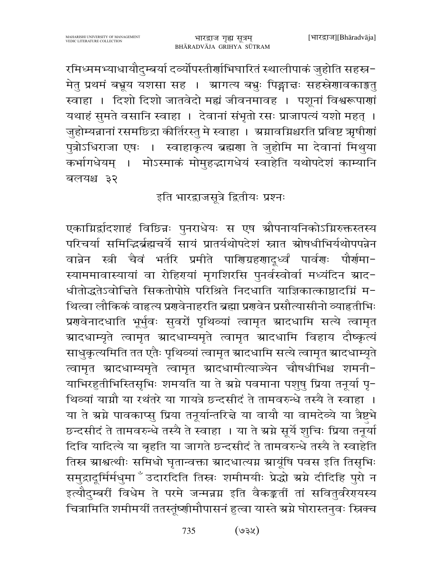रमिध्ममभ्याधायौदुम्बर्या दर्व्योपस्तीर्णाभिघारितं स्थालीपाकं जुहोति सहस्र-मेतु प्रथमं बभ्रूय यशसा सह । ग्रागत्य बभुः पिङ्गात्तः सहस्रेणावकाङ्गतु स्वाहा । दिशो दिशो जातवेदो मह्यं जीवनमावह । पशूनां विश्वरूपाणां यथाहं सुमते वसानि स्वाहा । देवानां संभृतो रसः प्राजापत्यं यशो महत् । जुहोम्यन्नानां रसमछिद्रा कीर्तिरस्तु मे स्वाहा । अग्नावग्निश्चरति प्रविष्ट ऋषीणां पुत्रोऽधिराजा एषः । स्वाहाकृत्य ब्रह्मणा ते जुहोमि मा देवानां मिथुया कर्भागधेयम् । मोऽस्माकं मोमुहद्भागधेयं स्वाहेति यथोपदेशं काम्यानि बलयश्च ३२

## इति भारद्वाजसूत्रे द्वितीयः प्रश्नः

एकाग्निर्द्वादशाहं विछिन्नः पुनराधेयः स एष स्रौपनायनिकोऽग्निरुक्तस्तस्य परिचर्या समिद्धिर्ब्रह्मचर्ये सायं प्रातर्यथोपदेशं स्नात स्रोषधीभिर्यथोपपन्नेन वान्नेन स्त्री चैवं भर्तरि प्रमीते पारिएग्रहर्णादूर्ध्वं पार्वणः पौर्णमा-स्याममावास्यायां वा रोहिरायां मृगशिरसि पुनर्वस्वोर्वा मध्यंदिन म्राद-धीतोद्धतेऽवोद्विते सिकतोपोप्ते परिश्रिते निदधाति याज्ञिकात्काष्ठादग्निं म-थित्वा लौकिकं वाहृत्य प्रगवेनाहरति ब्रह्मा प्रगवेन प्रसौत्यासीनो व्याहृतीभिः प्रणवेनादधाति भूर्भुवः सुवरों पृथिव्यां त्वामृत स्रादधामि सत्ये त्वामृत ग्रादधाम्यृते त्वामृत ग्रादधाम्यमृते त्वामृत ग्रादधामि विहाय दौष्कृत्यं साधुकृत्यमिति तत एतैः पृथिव्यां त्वामृत स्रादधामि सत्ये त्वामृत स्रादधाम्यृते त्वामृत स्रादधाम्यमृते त्वामृत स्रादधामीत्याज्येन चौषधीभिश्च शमनी-याभिरहुतीभिस्तिसृभिः शमयति या ते स्रग्ने पवमाना पशुषु प्रिया तनूर्या पू-थिव्यां याग्नौ या रथंतरे या गायत्रे छन्दसीदं ते तामवरुन्धे तस्यै ते स्वाहा । या ते ग्रग्ने पावकाप्सु प्रिया तनूर्यान्तरित्ते या वायौ या वामदेव्ये या त्रैष्टभे छन्दसीदं ते तामवरुन्धे तस्यै ते स्वाहा । या ते ग्रग्ने सूर्ये शुचिः प्रिया तनूर्या दिवि यादित्ये या बृहति या जागते छन्दसीदं ते तामवरुन्धे तस्यै ते स्वाहेति तिस्र ग्राश्वत्थीः समिधो घृतान्वक्ता ग्रादधात्यग्न ग्रायूंषि पवस इति तिसृभिः समुद्रादूर्मिर्मधुमा ँउदारदिति तिस्नः शमीमयीः प्रेद्धो ग्रग्ने दीदिहि पुरो न इत्यौदुम्बरीं विधेम ते परमे जन्मन्नग्न इति वैकङ्कर्ती तां सवितुर्वरेरायस्य चित्रामिति शमीमयीं ततस्तूंष्णीमौपासनं हुत्वा यास्ते ग्रग्ने घोरास्तनुवः स्त्रिक्च

> $($ ४६९) 735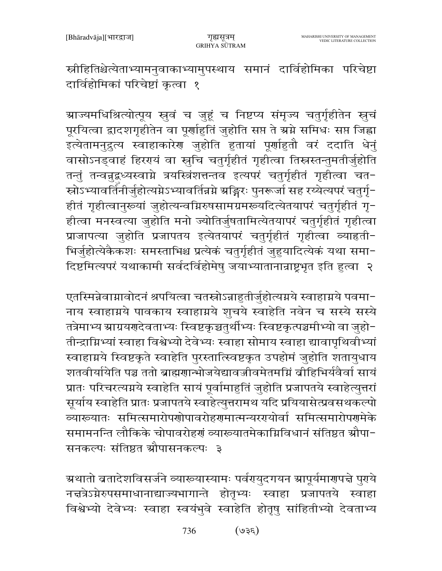स्नीहितिश्चेत्येताभ्यामनुवाकाभ्यामुपस्थाय समानं दार्विहोमिका परिचेष्टा दार्विहोमिकां परिचेष्टां कृत्वा १

ग्राज्यमधिश्रित्योत्पूय स्रुवं च जुहूं च निष्टप्य संमृज्य चतुर्गृहीतेन स्नुचं पूरयित्वा द्वादशगृहीतेन वा पूर्णाहुतिं जुहोति सप्त ते स्रग्ने समिधः सप्त जिह्वा इत्येतामनुद्रत्य स्वाहाकारेण जुहोति हुतायां पूर्णाहुतौ वरं ददाति धेनुं वासोऽनड्वाहं हिररयं वा स्नुचि चतुर्गृहीतं गृहीत्वा तिस्नस्तन्तुमतीर्जुहोति तन्तुं तन्वन्नुद्वध्यस्वाग्ने त्रयस्त्रिंशत्तन्तव इत्यपरं चतुर्गृहीतं गृहीत्वा चत-स्रोऽभ्यावर्तिनीर्जुहोत्यग्नेऽभ्यावर्तिन्नग्ने ग्रङ्गिरः पुनरूर्जा सह रय्येत्यपरं चतुर्गृ-हीतं गृहीत्वानुरूयां जुहोत्यन्वग्निरुषसामग्रमरूयदित्येतयापरं चतुर्गृहीतं गृ-हीत्वा मनस्वत्या जुहोति मनो ज्योतिर्जुषतामित्येतयापरं चतुर्गृहीतं गृहीत्वा प्राजापत्या जुहोति प्रजापतय इत्येतयापरं चतुर्गृहीतं गृहीत्वा व्याहृती-भिर्जुहोत्येकैकशः समस्ताभिश्च प्रत्येकं चतुर्गृहीतं जुहुयादित्येकं यथा समा-दिष्टमित्यपरं यथाकामी सर्वदर्विहोमेषु जयाभ्यातानान्राष्ट्रभूत इति हुत्वा २

एतस्मिन्नेवामावोदनं श्रपयित्वा चतस्रोऽन्नाहुतीर्जुहोत्यमये स्वाहामये पवमा-नाय स्वाहाग्नये पावकाय स्वाहाग्नये शुचये स्वाहेति नवेन च सस्ये सस्ये तत्रेमाभ्य स्राग्रयगदेवताभ्यः स्विष्टकृञ्चतुर्थीभ्यः स्विष्टकृत्पञ्चमीभ्यो वा जुहो-तीन्द्राग्निभ्यां स्वाहा विश्वेभ्यो देवेभ्यः स्वाहा सोमाय स्वाहा द्यावापृथिवीभ्यां स्वाहाग्नये स्विष्टकृते स्वाहेति पुरस्तात्स्विष्टकृत उपहोमं जुहोति शतायुधाय शतवीर्यायेति पञ्च ततो ब्राह्मणान्भोजयेद्यावज्जीवमेतमग्निं व्रोहिभिर्यवैर्वा सायं प्रातः परिचरत्यग्नये स्वाहेति सायं पूर्वामाहुतिं जुहोति प्रजापतये स्वाहेत्युत्तरां सूर्याय स्वाहेति प्रातः प्रजापतये स्वाहेत्युत्तरामथ यदि प्रयियासेत्प्रवसथकल्पो व्यारूयातः समित्समारोपणोपावरोहणमात्मन्यरगयोर्वा समित्समारोपणमेके समामनन्ति लौकिके चोपावरोहर्ग व्याख्यातमेकाग्निविधानं संतिष्ठत स्रौपा-सनकल्पः संतिष्ठत श्रौपासनकल्पः ३

ग्र्रथातो ब्रतादेशविसर्जने व्यारूयास्यामः पर्वरप्युदगयन स्रापूर्यमार्णपत्ते पुराये नद्मत्रेऽग्नेरुपसमाधानाद्याज्यभागान्ते होतृभ्यः स्वाहा प्रजापतये स्वाहा विश्वेभ्यो देवेभ्यः स्वाहा स्वयंभुवे स्वाहेति होतृषु सांहितीभ्यो देवताभ्य

> $(35e)$ 736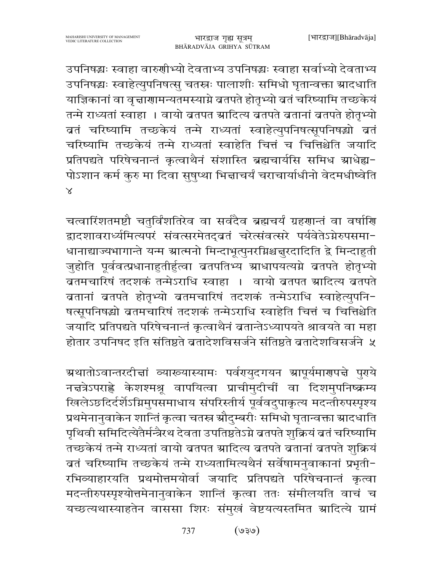उपनिषद्धः स्वाहा वारुणीभ्यो देवताभ्य उपनिषद्धः स्वाहा सर्वाभ्यो देवताभ्य उपनिषद्धः स्वाहेत्युपनिषत्सु चतस्रः पालाशीः समिधो घृतान्वक्ता स्रादधाति याज्ञिकानां वा वृत्ताराामन्यतमस्याग्ने ब्रतपते होतृभ्यो बतं चरिष्यामि तच्छकेयं तन्मे राध्यतां स्वाहा । वायो ब्रतपत स्रादित्य ब्रतपते ब्रतानां ब्रतपते होतृभ्यो बतं चरिष्यामि तच्छकेयं तन्मे राध्यतां स्वाहेत्युपनिषत्सूपनिषद्धो बतं चरिष्यामि तच्छकेयं तन्मे राध्यतां स्वाहेति चित्तं च चित्तिश्चेति जयादि प्रतिपद्यते परिषेचनान्तं कृत्वाथैनं संशास्ति ब्रह्मचार्यसि समिध श्राधेह्य-पोऽशान कर्म कुरु मा दिवा सुषुप्था भिन्नाचर्यं चराचार्याधीनो वेदमधीष्वेति  $\overline{\mathsf{x}}$ 

चत्वारिंशतमष्टौ चतुर्विंशतिरेव वा सर्वदैव ब्रह्मचर्यं ग्रहणान्तं वा वर्षाणि द्वादशावरार्ध्यमित्यपरं संवत्सरमेतद्व्वतं चरेत्संवत्सरे पर्यवेतेऽग्नेरुपसमा-धानाद्याज्यभागान्ते यन्म ग्रात्मनो मिन्दाभूत्पुनरग्निश्चन्नुरदादिति द्वे मिन्दाहुती जुहोति पूर्ववत्प्रधानाहुतीर्हुत्वा बतपतिभ्य स्राधापयत्यग्ने बतपते होतृभ्यो बतमचारिषं तदशकं तन्मेऽराधि स्वाहा । वायो ब्रतपत स्रादित्य ब्रतपते बतानां बतपते होतृभ्यो बतमचारिषं तदशकं तन्मेऽराधि स्वाहेत्युपनि-षत्सूपनिषद्धो ब्रतमचारिषं तदशकं तन्मेऽराधि स्वाहेति चित्तं च चित्तिश्चेति जयादि प्रतिपद्यते परिषेचनान्तं कृत्वाथैनं ब्रतान्तेऽध्यापयते श्रावयते वा महा होतार उपनिषद इति संतिष्ठते ब्रतादेशविसर्जने संतिष्ठते ब्रतादेशविसर्जने ५

ग्र्रथातोऽवान्तरदीचां व्याख्यास्यामः पर्वरायुदगयन स्रापूर्यमारणपचे पुराये नचत्रेऽपराह्णे केशश्मश्रू वापयित्वा प्राचीमुदीचीं वा दिशमुपनिष्क्रम्य खिलेऽछदिर्दर्शेऽग्निमुपसमाधाय संपरिस्तीर्य पूर्ववदुपाकृत्य मदन्तीरुपस्पृश्य प्रथमेनानुवाकेन शान्तिं कृत्वा चतस्र स्रौदुम्बरीः समिधो घृतान्वक्ता स्रादधाति पृथिवी समिदित्येतैर्मन्त्रैरथ देवता उपतिष्ठतेऽग्ने बतपते शुक्रियं बतं चरिष्यामि तच्छकेयं तन्मे राध्यतां वायो ब्रतपत ग्रादित्य ब्रतपते ब्रतानां ब्रतपते शुक्रियं बतं चरिष्यामि तच्छकेयं तन्मे राध्यतामित्यथैनं सर्वेषामनुवाकानां प्रभृती-रभिव्याहारयति प्रथमोत्तमयोर्वा जयादि प्रतिपद्यते परिषेचनान्तं कृत्वा मदन्तीरुपस्पृश्योत्तमेनानुवाकेन शान्तिं कृत्वा ततः संमीलयति वाचं च यच्छत्यथास्याहतेन वाससा शिरः संमुखं वेष्टयत्यस्तमित स्रादित्ये ग्रामं

> $(e/\varepsilon e)$ 737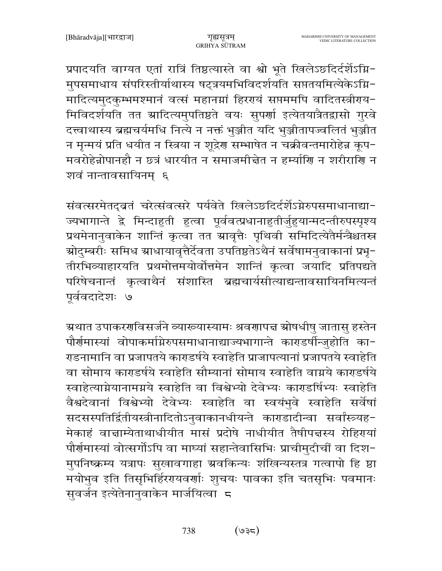प्रपादयति वाग्यत एतां रात्रिं तिष्ठत्यास्ते वा श्वो भूते खिलेऽछदिर्दर्शेऽग्नि-मुपसमाधाय संपरिस्तीर्याथास्य षट्त्रयमभिविदर्शयति सप्ततयमित्येकेऽग्नि-मादित्यमुदकुम्भमश्मानं वर्त्स महानम्नां हिरएयं सप्तममपि वादितस्त्रीराय-मिविदर्शयति तत स्रादित्यमुपतिष्ठते वयः सुपर्णा इत्येतयात्रैतद्वासो गुरवे दत्त्वाथास्य ब्रह्मचर्यमधि नित्ये न नक्तं भुञ्जीत यदि भुञ्जीतापज्वलितं भुञ्जीत न मृन्मयं प्रति धयीत न स्त्रिया न शूद्रेण सम्भाषेत न चक्रीवन्तमारोहेन्न कृप− मवरोहेन्नोपानहौ न छत्रं धारयीत न समाजमीन्नेत न हर्म्याणि न शरीराणि न शवं नान्तावसायिनम ६

संवत्सरमेतदुबतं चरेत्संवत्सरे पर्यवेते खिलेऽछदिर्दर्शेऽग्नेरुपसमाधानाद्या-ज्यभागान्ते द्वे मिन्दाहुती हुत्वा पूर्ववत्प्रधानाहुतीर्जुहुयान्मदन्तीरुपस्पृश्य प्रथमेनानुवाकेन शान्तिं कृत्वा तत स्रावृत्तैः पृथिवी समिदित्येतैर्मन्त्रैश्चतस्र स्रोदुम्बरीः समिध स्राधायावृत्तैर्देवता उपतिष्ठतेऽथैनं सर्वेषामनुवाकानां प्रभृ− तीरभिव्याहारयति प्रथमोत्तमयोर्वोत्तमेन शान्तिं कृत्वा जयादि प्रतिपद्यते परिषेचनान्तं कृत्वाथैनं संशास्ति ब्रह्मचार्यसीत्याद्यन्तावसायिनमित्यन्तं पूर्ववदादेशः ७

ग्र्रथात उपाकरणविसर्जने व्याख्यास्यामः श्रवणापत्त स्रोषधीषु जातासु हस्तेन पौर्णमास्यां वोपाकर्माग्नेरुपसमाधानाद्याज्यभागान्ते काराडर्षीन्जुहोति का-राडनामानि वा प्रजापतये काराडर्षये स्वाहेति प्राजापत्यानां प्रजापतये स्वाहेति वा सोमाय काराडर्षये स्वाहेति सौम्यानां सोमाय स्वाहेति वाग्नये काराडर्षये स्वाहेत्याग्नेयानामग्नये स्वाहेति वा विश्वेभ्यो देवेभ्यः काराडर्षिभ्यः स्वाहेति वैश्वदेवानां विश्वेभ्यो देवेभ्यः स्वाहेति वा स्वयंभुवे स्वाहेति सर्वेषां सदसस्पतिर्द्वितीयस्त्रीनादितोऽनुवाकानधीयन्ते काराडादीन्वा सर्वांस्त्र्यह-मेकाहं वाज्ञाम्येताथाधीयीत मासं प्रदोषे नाधीयीत तैषीपज्ञस्य रोहिरायां पौर्णमास्यां वोत्सर्गोऽपि वा माघ्यां सहान्तेवासिभिः प्राचीमुदीचीं वा दिश-मुपनिष्क्रम्य यत्रापः सुखावगाहा ग्रवकिन्यः शंखिन्यस्तत्र गत्वापो हि ष्ठा मयोभुव इति तिसृभिर्हिरगयवर्णाः शुचयः पावका इति चतसृभिः पवमानः सुवर्जन इत्येतेनानुवाकेन मार्जयित्वा ८

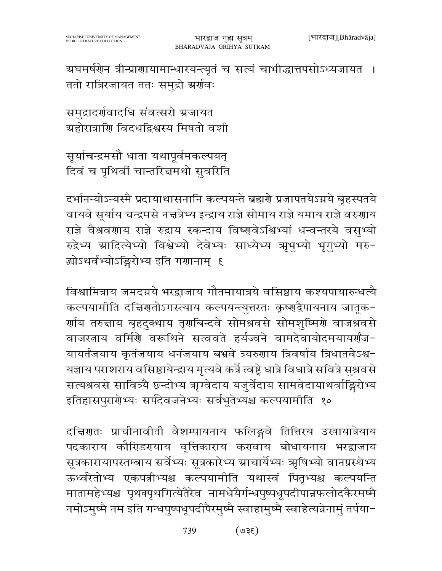ग्रघमर्षणेन त्रीन्प्राणायामान्धारयन्त्यृतं च सत्यं चाभीद्धात्तपसोऽध्यजायत । ततो रात्रिरजायत ततः समुद्रो अर्र्णवः

समुद्रादर्णवादधि संवत्सरो अजायत ग्रहोरात्राणि विदधद्रिश्वस्य मिषतो वशी

सूर्याचन्द्रमसौ धाता यथापूर्वमकल्पयत् दिवं च पृथिवीं चान्तरित्तमथो सुवरिति

दर्भानन्योऽन्यस्मै प्रदायाथासनानि कल्पयन्ते ब्रह्मणे प्रजापतयेऽग्नये बृहस्पतये वायवे सूर्याय चन्द्रमसे नत्तत्रेभ्य इन्द्राय राज्ञे सोमाय राज्ञे यमाय राज्ञे वरुणाय राज्ञे वैश्रवणाय राज्ञे रुद्राय स्कन्दाय विष्णवेऽश्विभ्यां धन्वन्तरये वसुभ्यो रुद्रेभ्य स्रादित्येभ्यो विश्वेभ्यो देवेभ्यः साध्येभ्य ऋभुभ्यो भृगुभ्यो मरु-झोऽथर्वभ्योऽङ्गिरोभ्य इति गणानाम् ६

विश्वामित्राय जमदग्नये भरद्वाजाय गौतमायात्रये वसिष्ठाय कश्यपायारुन्धत्यै कल्पयामीति दच्चिणतोऽगस्त्याय कल्पयन्त्युत्तरतः कृष्णद्वैपायनाय जातूक-र्णाय तरुन्नाय बृहदुक्थाय तृगबिन्दवे सोमश्रवसे सोमशुष्मिर्गे वाजश्रवसे वाजरताय वर्मिणे वरूथिने सत्ववते हर्यज्वने वामदेवायोदमयायर्णंज-यायर्तंजयाय कृतंजयाय धनंजयाय बभ्रवे त्र्यरुणाय त्रिवर्षाय त्रिधातवेऽश्व-यज्ञाय पराशराय वसिष्ठायेन्द्राय मृत्यवे कर्त्रे त्वष्ट्रे धात्रे विधात्रे सवित्रे सुश्रवसे सत्यश्रवसे सावित्र्यै छन्दोभ्य ऋग्वेदाय यजुर्वेदाय सामवेदायाथर्वाङ्गिरोभ्य इतिहासपुरार्गेभ्यः सर्पदेवजनेभ्यः सर्वभूतेभ्यश्च कल्पयामीति १०

दच्चिणतः प्राचीनावीती वैशम्पायनाय फलिङ्गवे तित्तिरय उखायात्रेयाय पदकाराय कौरिडरमयाय वृत्तिकाराय करावाय बोधायनाय भरद्राजाय सूत्रकारायापस्तम्बाय सर्वेभ्यः सूत्रकारेभ्य स्राचार्येभ्यः ऋषिभ्यो वानप्रस्थेभ्य ऊर्ध्वरेतोभ्य एकपत्नीभ्यश्च कल्पयामीति यथास्वं पितृभ्यश्च कल्पयन्ति मातामहेभ्यश्च पृथक्पृथगित्येतैरेव नामधेयैर्गन्धपुष्पधूपदीपान्नफलोदकैरमष्मै नमोऽमुष्मै नम इति गन्धपुष्पधूपदीपैरमुष्मै स्वाहामुष्मै स्वाहेत्यन्नेनामुं तर्पया-

> $(3\xi)$ 739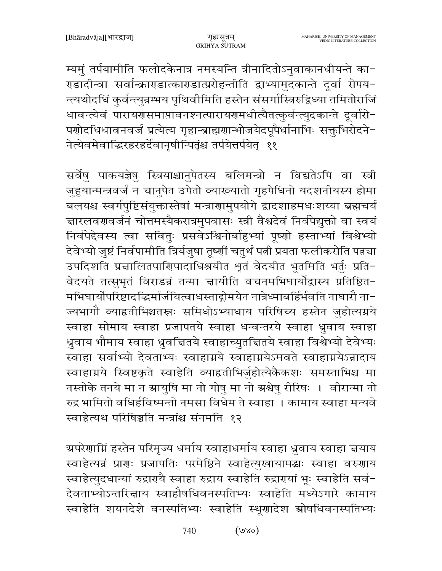म्यमुं तर्पयामीति फलोदकेनात्र नमस्यन्ति त्रीनादितोऽनुवाकानधीयन्ते का-राडादीन्वा सर्वान्क्राराडात्काराडात्प्ररोहन्तीति द्वाभ्यामुदकान्ते दूर्वा रोपय-न्त्यथोदधिं कुर्वन्त्युन्नम्भय पृथिवीमिति हस्तेन संसर्गास्त्रिरुद्विध्या तमितोराजिं धावन्त्येवं पारायगसमाप्तावनश्नत्पारायगमधीत्यैतत्कुर्वन्त्युदकान्ते दूर्वारो-पणोदधिधावनवर्जं प्रत्येत्य गृहान्ब्राह्मणान्भोजयेदपूपैर्धानाभिः सक्तुभिरोदने-नेत्येवमेवाद्धिरहरहर्देवानृषीन्पितृंश्च तर्पयेत्तर्पयेत् ११

सर्वेषु पाकयज्ञेषु स्त्रियाश्चानुपेतस्य बलिमन्त्रो न विद्यतेऽपि वा स्त्री जुहूयान्मन्त्रवर्जं न चानुपेत उपेतो व्याख्यातो गृहपेधिनो यदशनीयस्य होमा बलयश्च स्वर्गपुष्टिसंयुक्तास्तेषां मन्त्राणामुपयोगे द्वादशाहमधःशय्या ब्रह्मचर्यं चारलवरणबर्जनं चोत्तमस्यैकरात्रमुपवासः स्त्री वैश्वदेवं निर्वपेद्युक्तो वा स्वयं निर्वपेद्देवस्य त्वा सवितुः प्रसवेऽश्विनोर्बाहुभ्यां पृष्णो हस्ताभ्यां विश्वेभ्यो देवेभ्यो जुष्टं निर्वपामीति त्रिर्यजुषा तूष्णीं चतुर्थं पत्नी प्रयता फलीकरोति पत्नचा उपदिशति प्रद्मालितपाणिपादाधिश्रयीत शृतं वेदयीत भूतमिति भर्तुः प्रति-वेदयते तत्सुभृतं विराडन्नं तन्मा ज्ञायीति वचनमभिघार्योद्वास्य प्रतिष्ठित-मभिघार्योपरिष्टादद्भिर्मार्जयित्वाधस्ताद्गोमयेन नात्रेध्माबर्हिर्भवति नाघारौ ना− ज्यभागौ व्याहृतीभिश्चतस्त्रः समिधोऽभ्याधाय परिषिच्य हस्तेन जुहोत्यग्नये स्वाहा सोमाय स्वाहा प्रजापतये स्वाहा धन्वन्तरये स्वाहा ध्रुवाय स्वाहा ध्रुवाय भौमाय स्वाहा ध्रुवचितये स्वाहाच्युतचितये स्वाहा विश्वेभ्यो देवेभ्यः स्वाहा सर्वाभ्यो देवताभ्यः स्वाहाग्नये स्वाहाग्नयेऽमवते स्वाहाग्नयेऽन्नादाय स्वाहाग्नये स्विष्टकृते स्वाहेति व्याहृतीभिर्जुहोत्येकैकशः समस्ताभिश्च मा नस्तोके तनये मा न ग्रायुषि मा नो गोषु मा नो ग्रश्वेषु रीरिषः । वीरान्मा नो रुद्र भामितो वधिर्हविष्मन्तो नमसा विधेम ते स्वाहा । कामाय स्वाहा मन्यवे स्वाहेत्यथ परिषिञ्चति मन्त्रांश्च संनमति १२

ग्रपरेणाम्निं हस्तेन परिमृज्य धर्माय स्वाहाधर्माय स्वाहा ध्रुवाय स्वाहा चयाय स्वाहेत्यन्नं प्राणः प्रजापतिः परमेष्ठिने स्वाहेत्युखायामद्धः स्वाहा वरुणाय स्वाहेत्युदधान्यां रुद्रारायै स्वाहा रुद्राय स्वाहेति रुद्रारायां भूः स्वाहेति सर्व-देवताभ्योऽन्तरिन्नाय स्वाहौषधिवनस्पतिभ्यः स्वाहेति मध्येऽगारे कामाय स्वाहेति शयनदेशे वनस्पतिभ्यः स्वाहेति स्थूणादेश स्रोषधिवनस्पतिभ्यः

> $(\infty)$ 740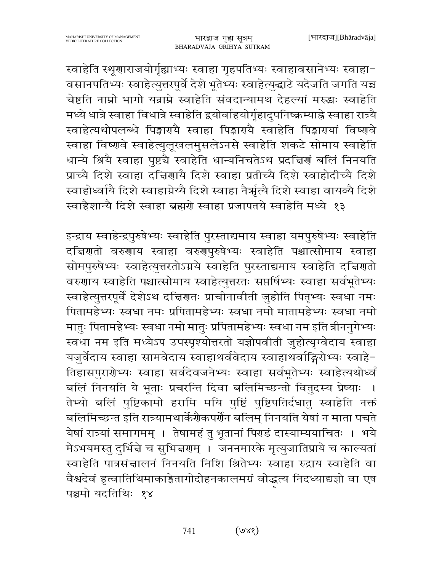स्वाहेति स्थूणाराजयोर्गृह्याभ्यः स्वाहा गृहपतिभ्यः स्वाहावसानेभ्यः स्वाहा-वसानपतिभ्यः स्वाहेत्युत्तरपूर्वे देशे भूतेभ्यः स्वाहेत्युद्धाटे यदेजति जगति यच्च चेष्टति नाम्नो भागो यन्नाम्ने स्वाहेति संवदान्यामथ देहल्यां मरुद्धः स्वाहेति मध्ये धात्रे स्वाहा विधात्रे स्वाहेति द्वयोर्वाहयोर्गृहादुपनिष्क्रम्याह्ने स्वाहा रात्र्यै स्वाहेत्यथोपलब्धे पिङ्मारायै स्वाहा पिङ्मारायै स्वाहेति पिङ्मारायां विष्णवे स्वाहा विष्णवे स्वाहेत्युलूखलमुसलेऽनसे स्वाहेति शकटे सोमाय स्वाहेति धान्ये श्रियै स्वाहा पुष्टचै स्वाहेति धान्यनिचतेऽथ प्रदत्तिर्णं बलिं निनयति प्राच्ये दिशे स्वाहा दत्तिणायै दिशे स्वाहा प्रतीच्यै दिशे स्वाहोदीच्यै दिशे स्वाहोध्वांयै दिशे स्वाहाग्नेय्यै दिशे स्वाहा नैर्ऋत्यै दिशे स्वाहा वायव्यै दिशे स्वाहैशान्यै दिशे स्वाहा ब्रह्मणे स्वाहा प्रजापतये स्वाहेति मध्ये १३

इन्द्राय स्वाहेन्द्रपुरुषेभ्यः स्वाहेति पुरस्ताद्यमाय स्वाहा यमपुरुषेभ्यः स्वाहेति दचिरणतो वरुणाय स्वाहा वरुणपुरुषेभ्यः स्वाहेति पश्चात्सोमाय स्वाहा सोमपुरुषेभ्यः स्वाहेत्युत्तरतोऽग्नये स्वाहेति पुरस्ताद्यमाय स्वाहेति दचिरणतो वरुणाय स्वाहेति पश्चात्सोमाय स्वाहेत्युत्तरतः सप्तर्षिभ्यः स्वाहा सर्वभूतेभ्यः स्वाहेत्युत्तरपूर्वे देशेऽथ दच्चिणतः प्राचीनावीती जुहोति पितृभ्यः स्वधा नमः पितामहेभ्यः स्वधा नमः प्रपितामहेभ्यः स्वधा नमो मातामहेभ्यः स्वधा नमो मातुः पितामहेभ्यः स्वधा नमो मातुः प्रपितामहेभ्यः स्वधा नम इति त्रीननुगेभ्यः स्वधा नम इति मध्येऽप उपस्पृश्योत्तरतो यज्ञोपवीती जुहोत्यृग्वेदाय स्वाहा यजुर्वेदाय स्वाहा सामवेदाय स्वाहाथर्ववेदाय स्वाहाथर्वाङ्गिरोभ्यः स्वाहे-तिहासपुरार्णभ्यः स्वाहा सर्वदेवजनेभ्यः स्वाहा सर्वभूतेभ्यः स्वाहेत्यथोर्ध्वं बलिं निनयति ये भूताः प्रचरन्ति दिवा बलिमिच्छन्तो वितुदस्य प्रेष्याः । तेभ्यो बलिं पुष्टिकामो हरामि मयि पुष्टिं पुष्टिपतिर्दधातु स्वाहेति नक्तं बलिमिच्छन्त इति रात्र्यामथार्केर्णैकपर्णेन बलिम् निनयति येषां न माता पचते येषां रात्र्यां समागमम् । तेषामहं तु भूतानां पिराडं दास्याम्ययाचितः । भये मेऽभयमस्तु दुर्भिन्ने च सुभिन्नगम् । जननमारके मृत्युजातिप्राये च काल्यतां स्वाहेति पात्रसंत्तालनं निनयति निशि श्रितेभ्यः स्वाहा रुद्राय स्वाहेति वा वैश्वदेवं हुत्वातिथिमाकाङ्गेतागोदोहनकालमग्रं वोद्धत्य निदध्याद्यज्ञो वा एष पञ्चमो यदतिथिः १४

> $(s<sub>k</sub>)$ 741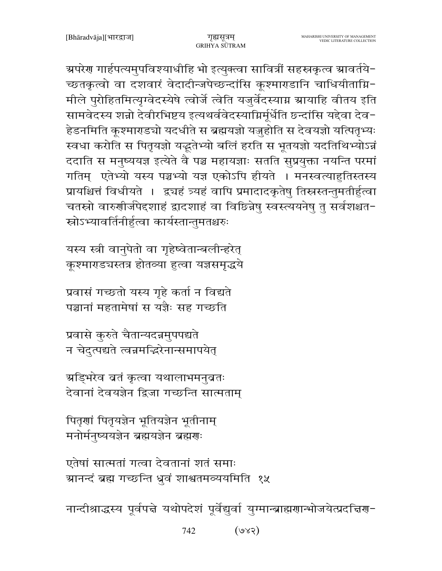अपरेण गार्हपत्यमुपविश्याधीहि भो इत्युक्त्वा सावित्रीं सहस्रकृत्व स्रावर्तये-च्छतकृत्वो वा दशवारं वेदादीन्जपेच्छन्दांसि कूश्माराडानि चाधियीताग्नि-मीले पुरोहितमित्यृग्वेदस्येषे त्वोर्जे त्वेति यजुर्वेदस्याग्न ग्रायाहि वीतय इति सामवेदस्य शन्नो देवीरभिष्टय इत्यथर्ववेदस्याग्निर्मुर्धेति छन्दांसि यद्देवा देव-हेडनमिति कूश्माराडचो यदधीते स ब्रह्मयज्ञो यजुहोति स देवयज्ञो यत्पितृभ्यः स्वधा करोति स पितृयज्ञो यद्भूतेभ्यो बलिं हरति स भूतयज्ञो यदतिथिभ्योऽन्नं ददाति स मनुष्ययज्ञ इत्येते वै पञ्च महायज्ञाः सतति सुप्रयुक्ता नयन्ति परमां गतिम् एतेभ्यो यस्य पञ्चभ्यो यज्ञ एकोऽपि हीयते । मनस्वत्याहुतिस्तस्य प्रायश्चित्तं विधीयते । द्व्यहं त्र्यहं वापि प्रमादादकृतेषु तिस्तस्तन्तुमतीर्हुत्वा चतस्रो वारुणीर्जपेदशाहं द्वादशाहं वा विछिन्नेषु स्वस्त्ययनेषु तु सर्वशश्चत-स्रोऽभ्यावर्तिनीर्हुत्वा कार्यस्तान्तुमतश्चरुः

यस्य स्त्री वानुपेतो वा गृहेष्वेतान्बलीन्हरेत् कुश्माराडचस्तत्र होतव्या हत्वा यज्ञसमृद्धये

प्रवासं गच्छतो यस्य गृहे कर्ता न विद्यते पञ्चानां महतामेषां स यज्ञैः सह गच्छति

प्रवासे कुरुते चैतान्यदन्नमुपपद्यते न चेदुत्पद्यते त्वन्नमद्भिरेनान्समापयेत्

ग्र्याङ्भरेव बतं कृत्वा यथालाभमनुबतः देवानां देवयज्ञेन द्विजा गच्छन्ति सात्मताम्

पितृणां पितृयज्ञेन भूतियज्ञेन भूतीनाम् मनोर्मनुष्ययज्ञेन ब्रह्मयज्ञेन ब्रह्मणः

एतेषां सात्मतां गत्वा देवतानां शतं समाः ग्रानन्दं ब्रह्म गच्छन्ति ध्रुवं शाश्वतमव्ययमिति १५

नान्दीश्राद्धस्य पूर्वपद्मे यथोपदेशं पूर्वेद्युर्वा युग्मान्ब्राह्मणान्भोजयेत्प्रदद्मिण-

 $(SXe)$ 742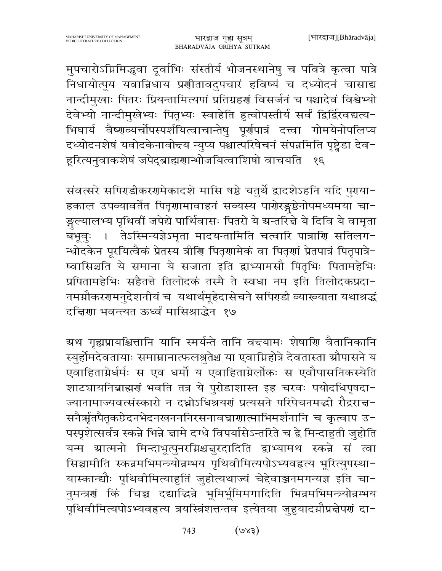मुपचारोऽग्निमिद्धवा दूर्वाभिः संस्तीर्य भोजनस्थानेषु च पवित्रे कृत्वा पात्रे निधायोत्पूय यवान्निधाय प्रणीतावदुपचारं हविष्यं च दध्योदनं चासाद्य नान्दीमुखाः पितरः प्रियन्तामित्यपां प्रतिग्रहणं विसर्जनं च पश्चादेवं विश्वेभ्यो देवेभ्यो नान्दीमुखेभ्यः पितृभ्यः स्वाहेति हुत्वोपस्तीर्य सर्वं द्विर्द्विरवद्यत्य-भिघार्य वैष्णव्यर्चोपस्पर्शयित्वाचान्तेषु पूर्णपात्रं दत्त्वा गोमयेनोपलिप्य दध्योदनशेषं यवोदकेनावोद्त्य न्युप्य पश्चात्परिषेचनं संपन्नमिति पृष्ट्रेडा देव-हूरित्यनुवाकशेषं जपेदब्राह्मणान्भोजयित्वाशिषो वाचयति  $\mathcal{S}\mathcal{E}$ 

संवत्सरे सपिराडीकररामेकादशे मासि षष्ठे चतुर्थे द्वादशेऽहनि यदि पुराया-हकाल उपव्यावर्तेत पितृणामावाहनं सव्यस्य पाणेरङ्गष्ठेनोपमध्यमया चा-ङ्गल्यालभ्य पृथिवीं जपेद्ये पार्थिवासः पितरो ये ग्रन्तरित्ते ये दिवि ये वामृता तेऽस्मिन्यज्ञेऽमृता मादयन्तामिति चत्वारि पात्राणि सतिलग-बभूवः । न्धोदकेन पूरयित्वैकं प्रेतस्य त्रीणि पितृणामेकं वा पितृणां प्रेतपात्रं पितृपात्रे-ष्वासिञ्चति ये समाना ये सजाता इति द्वाभ्यामसौ पितृभिः पितामहेभिः प्रपितामहेभिः सहैतत्ते तिलोदकं तस्मै ते स्वधा नम इति तिलोदकप्रदा-नमग्नौकरणमनुदेशनीयं च यथार्थमूहेदासेचने सपिराडी व्याख्याता यथाश्रद्धं दन्निणा भवन्त्यत ऊर्ध्वं मासिश्राद्धेन १७

ग्रथ गृह्यप्रायश्चित्तानि यानि स्मर्यन्ते तानि वन्त्यामः शेषाणि वैतानिकानि स्युर्होमदेवतायाः समाम्रानात्फलश्नुतेश्च या एवाग्निहोत्रे देवतास्ता औपासने य एवाहिताग्नेर्धर्मः स एव धर्मो य एवाहिताग्नेर्लोकः स एवौपासनिकस्येति शाटचायनिब्राह्मणं भवति तत्र ये पुरोडाशास्त इह चरवः पयोदधिपृषदा-ज्यानामाज्यवत्संस्कारो न दध्नोऽधिश्रयणं प्रत्यसने परिपेचनमद्भी रौद्रराच्च-सनैर्ऋतपैतृकछेदनभेदनखनननिरसनावघ्राणात्माभिमर्शनानि च कृत्वाप उ-पस्पृशेत्सर्वत्र स्कन्ने भिन्ने चामे दग्धे विपर्यासेऽन्तरिते च द्वे मिन्दाहुती जुहोति यन्म ग्रात्मनो मिन्दाभूत्पुनरग्निश्चन्नुरदादिति द्वाभ्यामथ स्कन्ने सं त्वा सिञ्चामीति स्कन्नमभिमन्त्र्योन्नम्भय पृथिवीमित्यपोऽभ्यवहृत्य भूरित्युपस्था-यास्कान्द्यौः पृथिवीमित्याहुतिं जुहोत्यथाज्यं चेद्देवाञ्जनमगन्यज्ञ इति चा-नुमन्त्रणं किं चिच्च दद्याद्धिन्ने भूमिर्भूमिमगादिति भिन्नमभिमन्त्र्योन्नम्भय पृथिवीमित्यपोऽभ्यवहृत्य त्रयस्त्रिंशत्तन्तव इत्येतया जुहुयादग्नौप्रद्वेपणं दा-

> $(589)$ 743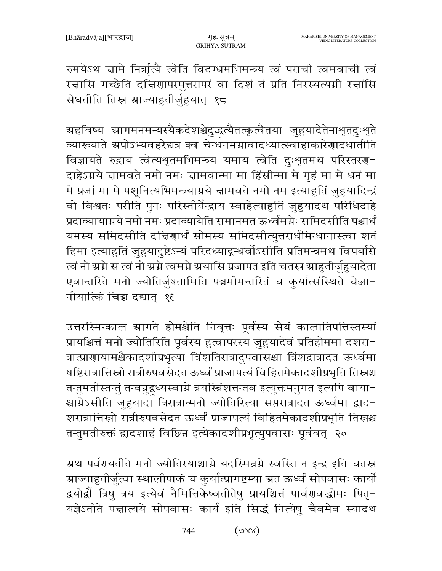रुमयेऽथ ज्ञामे निर्ऋत्यै त्वेति विदग्धमभिमन्त्र्य त्वं पराची त्वमवाची त्वं रज्ञांसि गच्छेति दचिरणापरमुत्तरापरं वा दिशं तं प्रति निरस्यत्यमी रज्ञांसि सेधतीति तिस्र ग्राज्याहुतीर्जुहुयात् १८

<mark>ग्रहविष्य ग्रागमनमन्यस्यैकदेशश्चेदुद्</mark>धत्यैतत्कृत्वैतया जुहुयादेतेनाशृतदुःशृते व्यारूयाते ग्रपोऽभ्यवहरेद्यत्र क्व चेर्न्धनमग्नावादध्यात्स्वाहाकारेणादधातीति विज्ञायते रुद्राय त्वेत्यशृतमभिमन्त्र्य यमाय त्वेति दुःशृतमथ परिस्तरण-दाहेऽग्नये ज्ञामवते नमो नमः ज्ञामवान्मा मा हिंसीन्मा मे गृहं मा मे धनं मा मे प्रजां मा मे पशूनित्यभिमन्त्र्याग्नये चामवते नमो नम इत्याहुतिं जुहुयादिन्द्रं वो विश्वतः परीति पुनः परिस्तीर्येन्द्राय स्वाहेत्याहुतिं जुहुयादथ परिधिदाहे प्रदाव्यायाग्नये नमो नमः प्रदाव्यायेति समानमत ऊर्ध्वमग्नेः समिदसीति पश्चार्धं यमस्य समिदसीति दचिरणार्धं सोमस्य समिदसीत्युत्तरार्धमिन्धानास्त्वा शतं हिमा इत्याहुतिं जुहुयादुष्टेऽन्यं परिदध्याद्गम्धर्वोऽसीति प्रतिमन्त्रमथ विपर्यासे त्वं नो ग्रग्ने स त्वं नो ग्रग्ने त्वमग्ने ग्रयासि प्रजापत इति चतस्त्र ग्राहुतीर्जुहुयादेता एवान्तरिते मनो ज्योतिर्जुषतामिति पञ्चमीमन्तरितं च कुर्यात्संस्थिते चेज्जा-नीयात्किं चिच्च दद्यात् १६

उत्तरस्मिन्काल ग्रागते होमश्चेति निवृत्तः पूर्वस्य सेयं कालातिपत्तिस्तस्यां प्रायश्चित्तं मनो ज्योतिरिति पूर्वस्य हुत्वापरस्य जुहुयादेवं प्रतिहोममा दशरा-त्रात्प्राणायामश्चैकादशीप्रभृत्या विंशतिरात्रादुपवासश्चा त्रिंशद्रात्रादत ऊर्ध्वमा षष्टिरात्रात्तिस्रो रात्रीरुपवसेदत ऊर्ध्वं प्राजापत्यं विहितमेकादशीप्रभृति तिस्त्रश्च तन्तुमतीस्तन्तुं तन्वच्रुद्वध्यस्वाग्ने त्रयस्त्रिंशत्तन्तव इत्युक्तमनुगत इत्यपि वाया-श्चाग्नेऽसीति जुहुयादा त्रिरात्रान्मनो ज्योतिरित्या सप्तरात्रादत ऊर्ध्वमा द्वाद− शरात्रात्तिस्रो रात्रीरुपवसेदत ऊर्ध्वं प्राजापत्यं विहितमेकादशीप्रभृति तिस्रश्च तन्तुमतीरुक्तं द्वादशाहं विछिन्न इत्येकादशीप्रभृत्युपवासः पूर्ववत् २०

ग्रथ पर्वरपतीते मनो ज्योतिरयाश्चाग्ने यदस्मिन्नग्ने स्वस्ति न इन्द्र इति चतस्त्र ग्राज्याहुतीर्जुत्वा स्थालीपाकं च कुर्यात्प्रागष्टम्या ग्रत ऊर्ध्वं सोपवासः कार्यो द्वयोर्द्रौ त्रिषु त्रय इत्येवं नैमित्तिकेष्वतीतेषु प्रायश्चित्तं पार्वग्रवद्धोमः पितृ-यज्ञेऽतीते पत्तात्यये सोपवासः कार्य इति सिद्धं नित्येषु चैवमेव स्यादथ

> $(xxe)$ 744